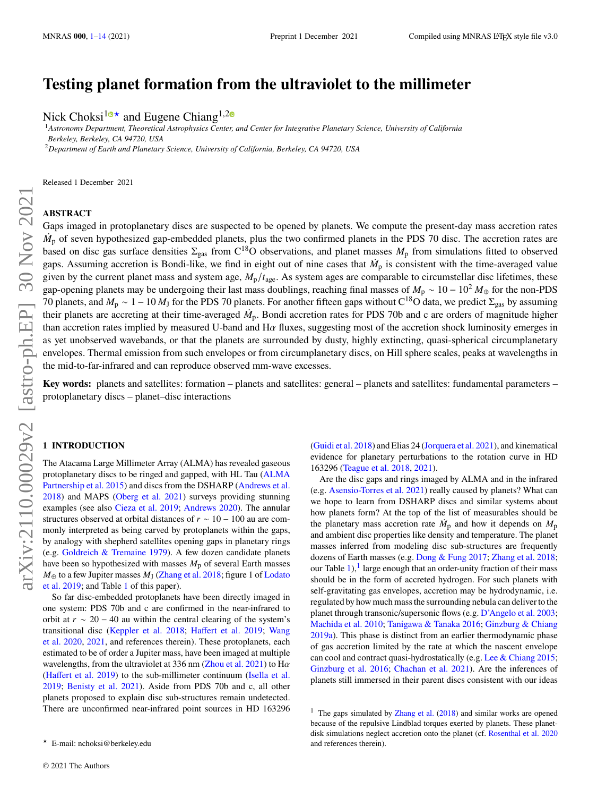# **Testing planet formation from the ultraviolet to the millimeter**

Nick Choksi<sup>[1](https://orcid.org/0000-0003-0690-1056)0</sup><sup>\*</sup> and Eugene Chiang<sup>1,[2](https://orcid.org/0000-0002-6246-2310)0</sup>

<sup>1</sup>*Astronomy Department, Theoretical Astrophysics Center, and Center for Integrative Planetary Science, University of California Berkeley, Berkeley, CA 94720, USA*

<sup>2</sup>*Department of Earth and Planetary Science, University of California, Berkeley, CA 94720, USA*

Released 1 December 2021

# **ABSTRACT**

Gaps imaged in protoplanetary discs are suspected to be opened by planets. We compute the present-day mass accretion rates  $\dot{M}_D$  of seven hypothesized gap-embedded planets, plus the two confirmed planets in the PDS 70 disc. The accretion rates are based on disc gas surface densities  $\Sigma_{\text{gas}}$  from C<sup>18</sup>O observations, and planet masses  $M_{\text{p}}$  from simulations fitted to observed gaps. Assuming accretion is Bondi-like, we find in eight out of nine cases that  $\dot{M}_p$  is consistent with the time-averaged value given by the current planet mass and system age,  $M<sub>p</sub>/t<sub>age</sub>$ . As system ages are comparable to circumstellar disc lifetimes, these gap-opening planets may be undergoing their last mass doublings, reaching final masses of  $M_p \sim 10 - 10^2 M_{\oplus}$  for the non-PDS 70 planets, and  $M_p \sim 1 - 10 M_J$  for the PDS 70 planets. For another fifteen gaps without C<sup>18</sup>O data, we predict  $\Sigma_{\rm gas}$  by assuming their planets are accreting at their time-averaged  $\dot{M}_p$ . Bondi accretion rates for PDS 70b and c are orders of magnitude higher than accretion rates implied by measured U-band and  $H\alpha$  fluxes, suggesting most of the accretion shock luminosity emerges in as yet unobserved wavebands, or that the planets are surrounded by dusty, highly extincting, quasi-spherical circumplanetary envelopes. Thermal emission from such envelopes or from circumplanetary discs, on Hill sphere scales, peaks at wavelengths in the mid-to-far-infrared and can reproduce observed mm-wave excesses.

**Key words:** planets and satellites: formation – planets and satellites: general – planets and satellites: fundamental parameters – protoplanetary discs – planet–disc interactions

### <span id="page-0-0"></span>**1 INTRODUCTION**

The Atacama Large Millimeter Array (ALMA) has revealed gaseous protoplanetary discs to be ringed and gapped, with HL Tau [\(ALMA](#page-12-1) [Partnership et al.](#page-12-1) [2015\)](#page-12-1) and discs from the DSHARP [\(Andrews et al.](#page-12-2) [2018\)](#page-12-2) and MAPS [\(Oberg et al.](#page-13-0) [2021\)](#page-13-0) surveys providing stunning examples (see also [Cieza et al.](#page-12-3) [2019;](#page-12-3) [Andrews](#page-12-4) [2020\)](#page-12-4). The annular structures observed at orbital distances of  $r \sim 10 - 100$  au are commonly interpreted as being carved by protoplanets within the gaps, by analogy with shepherd satellites opening gaps in planetary rings (e.g. [Goldreich & Tremaine](#page-12-5) [1979\)](#page-12-5). A few dozen candidate planets have been so hypothesized with masses  $M_p$  of several Earth masses  $M_{\oplus}$  to a few Jupiter masses  $M_{\rm J}$  [\(Zhang et al.](#page-13-1) [2018;](#page-13-1) figure 1 of [Lodato](#page-12-6) [et al.](#page-12-6) [2019;](#page-12-6) and Table [1](#page-2-0) of this paper).

So far disc-embedded protoplanets have been directly imaged in one system: PDS 70b and c are confirmed in the near-infrared to orbit at  $r \sim 20 - 40$  au within the central clearing of the system's transitional disc [\(Keppler et al.](#page-12-7) [2018;](#page-12-7) [Haffert et al.](#page-12-8) [2019;](#page-12-8) [Wang](#page-13-2) [et al.](#page-13-2) [2020,](#page-13-2) [2021,](#page-13-3) and references therein). These protoplanets, each estimated to be of order a Jupiter mass, have been imaged at multiple wavelengths, from the ultraviolet at 336 nm [\(Zhou et al.](#page-13-4) [2021\)](#page-13-4) to  $H\alpha$ [\(Haffert et al.](#page-12-8) [2019\)](#page-12-8) to the sub-millimeter continuum [\(Isella et al.](#page-12-9) [2019;](#page-12-9) [Benisty et al.](#page-12-10) [2021\)](#page-12-10). Aside from PDS 70b and c, all other planets proposed to explain disc sub-structures remain undetected. There are unconfirmed near-infrared point sources in HD 163296 [\(Guidi et al.](#page-12-11) [2018\)](#page-12-11) and Elias 24 [\(Jorquera et al.](#page-12-12) [2021\)](#page-12-12), and kinematical evidence for planetary perturbations to the rotation curve in HD 163296 [\(Teague et al.](#page-13-5) [2018,](#page-13-5) [2021\)](#page-13-6).

Are the disc gaps and rings imaged by ALMA and in the infrared (e.g. [Asensio-Torres et al.](#page-12-13) [2021\)](#page-12-13) really caused by planets? What can we hope to learn from DSHARP discs and similar systems about how planets form? At the top of the list of measurables should be the planetary mass accretion rate  $\dot{M}_p$  and how it depends on  $M_p$ and ambient disc properties like density and temperature. The planet masses inferred from modeling disc sub-structures are frequently dozens of Earth masses (e.g. [Dong & Fung](#page-12-14) [2017;](#page-12-14) [Zhang et al.](#page-13-1) [2018;](#page-13-1) our Table  $1$ ),  $\frac{1}{1}$  large enough that an order-unity fraction of their mass should be in the form of accreted hydrogen. For such planets with self-gravitating gas envelopes, accretion may be hydrodynamic, i.e. regulated by how much mass the surrounding nebula can deliver to the planet through transonic/supersonic flows (e.g. [D'Angelo et al.](#page-12-15) [2003;](#page-12-15) [Machida et al.](#page-13-7) [2010;](#page-13-7) [Tanigawa & Tanaka](#page-13-8) [2016;](#page-13-8) [Ginzburg & Chiang](#page-12-16) [2019a\)](#page-12-16). This phase is distinct from an earlier thermodynamic phase of gas accretion limited by the rate at which the nascent envelope can cool and contract quasi-hydrostatically (e.g. [Lee & Chiang](#page-12-17) [2015;](#page-12-17) [Ginzburg et al.](#page-12-18) [2016;](#page-12-18) [Chachan et al.](#page-12-19) [2021\)](#page-12-19). Are the inferences of planets still immersed in their parent discs consistent with our ideas

<sup>★</sup> E-mail: nchoksi@berkeley.edu

<span id="page-0-1"></span><sup>&</sup>lt;sup>1</sup> The gaps simulated by [Zhang et al.](#page-13-1)  $(2018)$  and similar works are opened because of the repulsive Lindblad torques exerted by planets. These planetdisk simulations neglect accretion onto the planet (cf. [Rosenthal et al.](#page-13-9) [2020](#page-13-9) and references therein).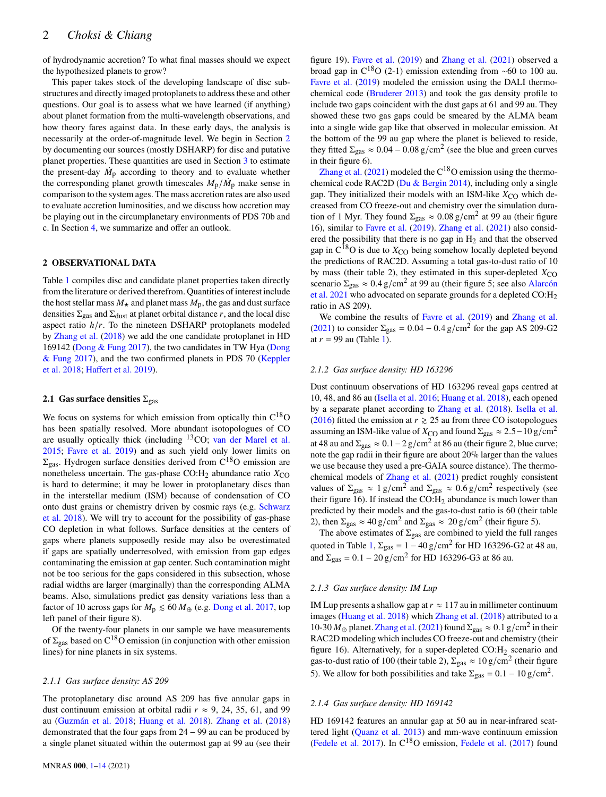of hydrodynamic accretion? To what final masses should we expect the hypothesized planets to grow?

This paper takes stock of the developing landscape of disc substructures and directly imaged protoplanets to address these and other questions. Our goal is to assess what we have learned (if anything) about planet formation from the multi-wavelength observations, and how theory fares against data. In these early days, the analysis is necessarily at the order-of-magnitude level. We begin in Section [2](#page-1-0) by documenting our sources (mostly DSHARP) for disc and putative planet properties. These quantities are used in Section [3](#page-4-0) to estimate the present-day  $\dot{M}_\text{p}$  according to theory and to evaluate whether the corresponding planet growth timescales  $M_{\rm p}/\dot{M}_{\rm p}$  make sense in comparison to the system ages. The mass accretion rates are also used to evaluate accretion luminosities, and we discuss how accretion may be playing out in the circumplanetary environments of PDS 70b and c. In Section [4,](#page-10-0) we summarize and offer an outlook.

# <span id="page-1-0"></span>**2 OBSERVATIONAL DATA**

Table [1](#page-2-0) compiles disc and candidate planet properties taken directly from the literature or derived therefrom. Quantities of interest include the host stellar mass  $M_{\star}$  and planet mass  $M_{\rm p}$ , the gas and dust surface densities  $\Sigma_{\text{gas}}$  and  $\Sigma_{\text{dust}}$  at planet orbital distance r, and the local disc aspect ratio  $h/r$ . To the nineteen DSHARP protoplanets modeled by [Zhang et al.](#page-13-1) [\(2018\)](#page-13-1) we add the one candidate protoplanet in HD 169142 [\(Dong & Fung](#page-12-14) [2017\)](#page-12-14), the two candidates in TW Hya [\(Dong](#page-12-14) [& Fung](#page-12-14) [2017\)](#page-12-14), and the two confirmed planets in PDS 70 [\(Keppler](#page-12-7) [et al.](#page-12-7) [2018;](#page-12-7) [Haffert et al.](#page-12-8) [2019\)](#page-12-8).

# <span id="page-1-1"></span>**2.1 Gas surface densities**  $\Sigma_{\text{gas}}$

We focus on systems for which emission from optically thin  $C^{18}O$ has been spatially resolved. More abundant isotopologues of CO are usually optically thick (including <sup>13</sup>CO; [van der Marel et al.](#page-13-10) [2015;](#page-13-10) [Favre et al.](#page-12-20) [2019\)](#page-12-20) and as such yield only lower limits on  $\Sigma_{\text{gas}}$ . Hydrogen surface densities derived from C<sup>18</sup>O emission are nonetheless uncertain. The gas-phase CO: $H_2$  abundance ratio  $X_{CO}$ is hard to determine; it may be lower in protoplanetary discs than in the interstellar medium (ISM) because of condensation of CO onto dust grains or chemistry driven by cosmic rays (e.g. [Schwarz](#page-13-11) [et al.](#page-13-11) [2018\)](#page-13-11). We will try to account for the possibility of gas-phase CO depletion in what follows. Surface densities at the centers of gaps where planets supposedly reside may also be overestimated if gaps are spatially underresolved, with emission from gap edges contaminating the emission at gap center. Such contamination might not be too serious for the gaps considered in this subsection, whose radial widths are larger (marginally) than the corresponding ALMA beams. Also, simulations predict gas density variations less than a factor of 10 across gaps for  $M_p \le 60 M_{\oplus}$  (e.g. [Dong et al.](#page-12-21) [2017,](#page-12-21) top left panel of their figure 8).

Of the twenty-four planets in our sample we have measurements of  $\Sigma_{\text{gas}}$  based on C<sup>18</sup>O emission (in conjunction with other emission lines) for nine planets in six systems.

#### *2.1.1 Gas surface density: AS 209*

The protoplanetary disc around AS 209 has five annular gaps in dust continuum emission at orbital radii  $r \approx 9, 24, 35, 61,$  and 99 au [\(Guzmán et al.](#page-12-22) [2018;](#page-12-22) [Huang et al.](#page-12-23) [2018\)](#page-12-23). [Zhang et al.](#page-13-1) [\(2018\)](#page-13-1) demonstrated that the four gaps from 24 − 99 au can be produced by a single planet situated within the outermost gap at 99 au (see their

figure 19). [Favre et al.](#page-12-20) [\(2019\)](#page-12-20) and [Zhang et al.](#page-13-12) [\(2021\)](#page-13-12) observed a broad gap in  $C^{18}O(2-1)$  emission extending from ~60 to 100 au. [Favre et al.](#page-12-20) [\(2019\)](#page-12-20) modeled the emission using the DALI thermochemical code [\(Bruderer](#page-12-24) [2013\)](#page-12-24) and took the gas density profile to include two gaps coincident with the dust gaps at 61 and 99 au. They showed these two gas gaps could be smeared by the ALMA beam into a single wide gap like that observed in molecular emission. At the bottom of the 99 au gap where the planet is believed to reside, they fitted  $\Sigma_{\rm gas} \approx 0.04 - 0.08$  g/cm<sup>2</sup> (see the blue and green curves in their figure 6).

[Zhang et al.](#page-13-12) [\(2021\)](#page-13-12) modeled the  $C^{18}O$  emission using the thermochemical code RAC2D [\(Du & Bergin](#page-12-25) [2014\)](#page-12-25), including only a single gap. They initialized their models with an ISM-like  $X_{CO}$  which decreased from CO freeze-out and chemistry over the simulation duration of 1 Myr. They found  $\Sigma_{\rm gas} \approx 0.08 \, \rm g/cm^2$  at 99 au (their figure 16), similar to [Favre et al.](#page-12-20) [\(2019\)](#page-12-20). [Zhang et al.](#page-13-12) [\(2021\)](#page-13-12) also considered the possibility that there is no gap in  $H_2$  and that the observed gap in  $C^{18}O$  is due to  $X_{CO}$  being somehow locally depleted beyond the predictions of RAC2D. Assuming a total gas-to-dust ratio of 10 by mass (their table 2), they estimated in this super-depleted  $X_{\rm CO}$ scenario  $\Sigma_{\rm gas} \approx 0.4 \, {\rm g/cm^2}$  at 99 au (their figure 5; see also [Alarcón](#page-12-26) [et al.](#page-12-26) [2021](#page-12-26) who advocated on separate grounds for a depleted CO:H<sup>2</sup> ratio in AS 209).

We combine the results of [Favre et al.](#page-12-20) [\(2019\)](#page-12-20) and [Zhang et al.](#page-13-12) [\(2021\)](#page-13-12) to consider  $\Sigma_{\rm gas} = 0.04 - 0.4$  g/cm<sup>2</sup> for the gap AS 209-G2 at  $r = 99$  au (Table [1\)](#page-2-0).

## *2.1.2 Gas surface density: HD 163296*

Dust continuum observations of HD 163296 reveal gaps centred at 10, 48, and 86 au [\(Isella et al.](#page-12-27) [2016;](#page-12-27) [Huang et al.](#page-12-23) [2018\)](#page-12-23), each opened by a separate planet according to [Zhang et al.](#page-13-1) [\(2018\)](#page-13-1). [Isella et al.](#page-12-27) [\(2016\)](#page-12-27) fitted the emission at  $r \ge 25$  au from three CO isotopologues assuming an ISM-like value of  $X_{\rm CO}$  and found  $\Sigma_{\rm gas} \approx 2.5-10 \,\rm g/cm^2$ at 48 au and  $\Sigma_{\rm gas} \approx 0.1 - 2$  g/cm<sup>2</sup> at 86 au (their figure 2, blue curve; note the gap radii in their figure are about 20% larger than the values we use because they used a pre-GAIA source distance). The thermochemical models of [Zhang et al.](#page-13-12) [\(2021\)](#page-13-12) predict roughly consistent values of  $\Sigma_{\rm gas} \approx 1 \text{ g/cm}^2$  and  $\Sigma_{\rm gas} \approx 0.6 \text{ g/cm}^2$  respectively (see their figure 16). If instead the  $CO:H_2$  abundance is much lower than predicted by their models and the gas-to-dust ratio is 60 (their table 2), then  $\Sigma_{\rm gas} \approx 40 \text{ g/cm}^2$  and  $\Sigma_{\rm gas} \approx 20 \text{ g/cm}^2$  (their figure 5).

The above estimates of  $\Sigma_{\text{gas}}$  are combined to yield the full ranges quoted in Table [1,](#page-2-0)  $\Sigma_{\text{gas}} = 1 - 40 \text{ g/cm}^2$  for HD 163296-G2 at 48 au, and  $\Sigma_{\rm gas} = 0.1 - 20 \,\rm g/cm^2$  for HD 163296-G3 at 86 au.

# *2.1.3 Gas surface density: IM Lup*

IM Lup presents a shallow gap at  $r \approx 117$  au in millimeter continuum images [\(Huang et al.](#page-12-23) [2018\)](#page-12-23) which [Zhang et al.](#page-13-1) [\(2018\)](#page-13-1) attributed to a 10-30  $M_{\oplus}$  planet. [Zhang et al.](#page-13-12) [\(2021\)](#page-13-12) found  $\Sigma_{\text{gas}} \approx 0.1 \text{ g/cm}^2$  in their RAC2D modeling which includes CO freeze-out and chemistry (their figure 16). Alternatively, for a super-depleted  $CO:H_2$  scenario and gas-to-dust ratio of 100 (their table 2),  $\Sigma_{\text{gas}} \approx 10 \text{ g/cm}^2$  (their figure 5). We allow for both possibilities and take  $\Sigma_{\rm gas} = 0.1 - 10 \,\rm g/cm^2$ .

#### *2.1.4 Gas surface density: HD 169142*

HD 169142 features an annular gap at 50 au in near-infrared scattered light [\(Quanz et al.](#page-13-13) [2013\)](#page-13-13) and mm-wave continuum emission [\(Fedele et al.](#page-12-28) [2017\)](#page-12-28). In  $C^{18}O$  emission, [Fedele et al.](#page-12-28) [\(2017\)](#page-12-28) found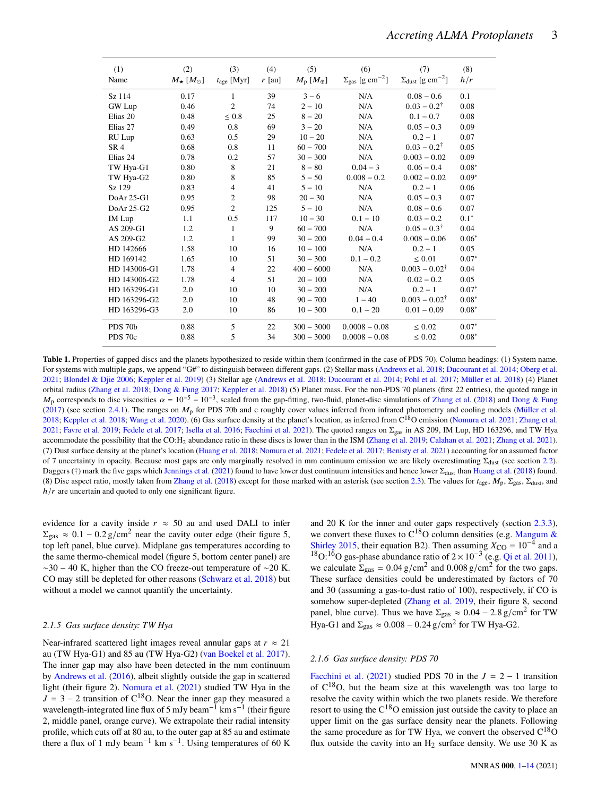| (1)<br>Name         | (2)<br>$M_{\star}$ $[M_{\odot}]$ | (3)<br>$t_{\text{age}}$ [Myr] | (4)<br>$r$ [au] | (5)<br>$M_{\rm p}~[M_{\oplus}]$ | (6)<br>$\Sigma_{\rm gas}$ [g cm <sup>-2</sup> ] | (7)<br>$\Sigma_{\text{dust}}$ [g cm <sup>-2</sup> ] | (8)<br>h/r  |
|---------------------|----------------------------------|-------------------------------|-----------------|---------------------------------|-------------------------------------------------|-----------------------------------------------------|-------------|
| Sz 114              | 0.17                             | 1                             | 39              | $3 - 6$                         | N/A                                             | $0.08 - 0.6$                                        | 0.1         |
| GW Lup              | 0.46                             | $\overline{c}$                | 74              | $2 - 10$                        | N/A                                             | $0.03 - 0.2^{\dagger}$                              | 0.08        |
| Elias <sub>20</sub> | 0.48                             | $\leq 0.8$                    | 25              | $8 - 20$                        | N/A                                             | $0.1 - 0.7$                                         | 0.08        |
| Elias 27            | 0.49                             | 0.8                           | 69              | $3 - 20$                        | N/A                                             | $0.05 - 0.3$                                        | 0.09        |
| RU Lup              | 0.63                             | 0.5                           | 29              | $10 - 20$                       | N/A                                             | $0.2 - 1$                                           | 0.07        |
| SR <sub>4</sub>     | 0.68                             | 0.8                           | 11              | $60 - 700$                      | N/A                                             | $0.03 - 0.2^{\dagger}$                              | 0.05        |
| Elias 24            | 0.78                             | 0.2                           | 57              | $30 - 300$                      | N/A                                             | $0.003 - 0.02$                                      | 0.09        |
| TW Hya-G1           | 0.80                             | 8                             | 21              | $8 - 80$                        | $0.04 - 3$                                      | $0.06 - 0.4$                                        | $0.08*$     |
| TW Hya-G2           | 0.80                             | 8                             | 85              | $5 - 50$                        | $0.008 - 0.2$                                   | $0.002 - 0.02$                                      | $0.09*$     |
| Sz 129              | 0.83                             | 4                             | 41              | $5 - 10$                        | N/A                                             | $0.2 - 1$                                           | 0.06        |
| DoAr 25-G1          | 0.95                             | 2                             | 98              | $20 - 30$                       | N/A                                             | $0.05 - 0.3$                                        | 0.07        |
| DoAr 25-G2          | 0.95                             | $\overline{2}$                | 125             | $5 - 10$                        | N/A                                             | $0.08 - 0.6$                                        | 0.07        |
| <b>IM</b> Lup       | 1.1                              | $0.5\,$                       | 117             | $10 - 30$                       | $0.1 - 10$                                      | $0.03 - 0.2$                                        | $0.1*$      |
| AS 209-G1           | 1.2                              | 1                             | 9               | $60 - 700$                      | N/A                                             | $0.05 - 0.3^{\dagger}$                              | 0.04        |
| AS 209-G2           | 1.2                              | 1                             | 99              | $30 - 200$                      | $0.04 - 0.4$                                    | $0.008 - 0.06$                                      | $0.06*$     |
| HD 142666           | 1.58                             | 10                            | 16              | $10 - 100$                      | N/A                                             | $0.2 - 1$                                           | 0.05        |
| HD 169142           | 1.65                             | 10                            | 51              | $30 - 300$                      | $0.1 - 0.2$                                     | $\leq 0.01$                                         | $0.07*$     |
| HD 143006-G1        | 1.78                             | $\overline{4}$                | 22              | $400 - 6000$                    | N/A                                             | $0.003 - 0.02^{\dagger}$                            | 0.04        |
| HD 143006-G2        | 1.78                             | 4                             | 51              | $20 - 100$                      | N/A                                             | $0.02 - 0.2$                                        | 0.05        |
| HD 163296-G1        | 2.0                              | 10                            | 10              | $30 - 200$                      | N/A                                             | $0.2 - 1$                                           | $0.07*$     |
| HD 163296-G2        | 2.0                              | 10                            | 48              | $90 - 700$                      | $1 - 40$                                        | $0.003 - 0.02^{\dagger}$                            | $0.08*$     |
| HD 163296-G3        | 2.0                              | 10                            | 86              | $10 - 300$                      | $0.1 - 20$                                      | $0.01 - 0.09$                                       | $0.08*$     |
| PDS 70b             | 0.88                             | 5                             | 22              | $300 - 3000$                    | $0.0008 - 0.08$                                 | ${}< 0.02$                                          | $0.07*$     |
| PDS 70c             | 0.88                             | 5                             | 34              | $300 - 3000$                    | $0.0008 - 0.08$                                 | $\leq 0.02$                                         | $0.08^\ast$ |

Table 1. Properties of gapped discs and the planets hypothesized to reside within them (confirmed in the case of PDS 70). Column headings: (1) System name. For systems with multiple gaps, we append "G#" to distinguish between different gaps. (2) Stellar mass [\(Andrews et al.](#page-12-2) [2018;](#page-12-2) [Ducourant et al.](#page-12-29) [2014;](#page-12-29) [Oberg et al.](#page-13-0) [2021;](#page-13-0) [Blondel & Djie](#page-12-30) [2006;](#page-12-30) [Keppler et al.](#page-12-31) [2019\)](#page-12-31) (3) Stellar age [\(Andrews et al.](#page-12-2) [2018;](#page-12-2) [Ducourant et al.](#page-12-29) [2014;](#page-12-29) [Pohl et al.](#page-13-14) [2017;](#page-13-14) [Müller et al.](#page-13-15) [2018\)](#page-13-15) (4) Planet orbital radius [\(Zhang et al.](#page-13-1) [2018;](#page-13-1) [Dong & Fung](#page-12-14) [2017;](#page-12-14) [Keppler et al.](#page-12-7) [2018\)](#page-12-7) (5) Planet mass. For the non-PDS 70 planets (first 22 entries), the quoted range in  $M_p$  corresponds to disc viscosities  $\alpha = 10^{-5} - 10^{-3}$ , scaled from the gap-fitting, two-fluid, planet-disc simulations of [Zhang et al.](#page-13-1) [\(2018\)](#page-13-1) and [Dong & Fung](#page-12-14) [\(2017\)](#page-12-14) (see section [2.4.1\)](#page-4-1). The ranges on  $M<sub>p</sub>$  for PDS 70b and c roughly cover values inferred from infrared photometry and cooling models [\(Müller et al.](#page-13-15) [2018;](#page-12-7) [Keppler et al.](#page-12-7) 2018; [Wang et al.](#page-13-2) [2020\)](#page-13-2). (6) Gas surface density at the planet's location, as inferred from C<sup>18</sup>O emission [\(Nomura et al.](#page-13-16) [2021;](#page-13-16) [Zhang et al.](#page-13-12) [2021;](#page-13-12) [Favre et al.](#page-12-20) [2019;](#page-12-20) [Fedele et al.](#page-12-28) [2017;](#page-12-28) [Isella et al.](#page-12-27) [2016;](#page-12-27) [Facchini et al.](#page-12-32) [2021\)](#page-12-32). The quoted ranges on  $\Sigma_{\rm gas}$  in AS 209, IM Lup, HD 163296, and TW Hya accommodate the possibility that the CO:H<sub>2</sub> abundance ratio in these discs is lower than in the ISM [\(Zhang et al.](#page-13-17) [2019;](#page-13-17) [Calahan et al.](#page-12-33) [2021;](#page-12-33) [Zhang et al.](#page-13-12) [2021\)](#page-13-12). (7) Dust surface density at the planet's location [\(Huang et al.](#page-12-23) [2018;](#page-12-23) [Nomura et al.](#page-13-16) [2021;](#page-13-16) [Fedele et al.](#page-12-28) [2017;](#page-12-28) [Benisty et al.](#page-12-10) [2021\)](#page-12-10) accounting for an assumed factor of 7 uncertainty in opacity. Because most gaps are only marginally resolved in mm continuum emission we are likely overestimating  $\Sigma_{\text{dust}}$  (see section [2.2\)](#page-3-0). Daggers (†) mark the five gaps which [Jennings et al.](#page-12-34) [\(2021\)](#page-12-34) found to have lower dust continuum intensities and hence lower Σ<sub>dust</sub> than [Huang et al.](#page-12-23) [\(2018\)](#page-12-23) found. (8) Disc aspect ratio, mostly taken from [Zhang et al.](#page-13-1) [\(2018\)](#page-13-1) except for those marked with an asterisk (see section [2.3\)](#page-3-1). The values for  $t_{\text{age}}$ ,  $M_{\text{p}}$ ,  $\Sigma_{\text{gas}}$ ,  $\Sigma_{\text{dust}}$ , and  $h/r$  are uncertain and quoted to only one significant figure.

evidence for a cavity inside  $r \approx 50$  au and used DALI to infer  $\Sigma_{\text{gas}} \approx 0.1 - 0.2 \text{ g/cm}^2$  near the cavity outer edge (their figure 5, top left panel, blue curve). Midplane gas temperatures according to the same thermo-chemical model (figure 5, bottom center panel) are  $~\sim$ 30 − 40 K, higher than the CO freeze-out temperature of  $~\sim$ 20 K. CO may still be depleted for other reasons [\(Schwarz et al.](#page-13-11) [2018\)](#page-13-11) but without a model we cannot quantify the uncertainty.

#### *2.1.5 Gas surface density: TW Hya*

Near-infrared scattered light images reveal annular gaps at  $r \approx 21$ au (TW Hya-G1) and 85 au (TW Hya-G2) [\(van Boekel et al.](#page-13-18) [2017\)](#page-13-18). The inner gap may also have been detected in the mm continuum by [Andrews et al.](#page-12-35) [\(2016\)](#page-12-35), albeit slightly outside the gap in scattered light (their figure 2). [Nomura et al.](#page-13-16) [\(2021\)](#page-13-16) studied TW Hya in the  $J = 3 - 2$  transition of C<sup>18</sup>O. Near the inner gap they measured a wavelength-integrated line flux of 5 mJy beam<sup>-1</sup> km s<sup>-1</sup> (their figure 2, middle panel, orange curve). We extrapolate their radial intensity profile, which cuts off at 80 au, to the outer gap at 85 au and estimate there a flux of 1 mJy beam<sup>-1</sup> km s<sup>-1</sup>. Using temperatures of 60 K <span id="page-2-0"></span>and 20 K for the inner and outer gaps respectively (section [2.3.3\)](#page-4-2), we convert these fluxes to  $C^{18}O$  column densities (e.g. [Mangum &](#page-13-19) [Shirley](#page-13-19) [2015,](#page-13-19) their equation B2). Then assuming  $X_{\text{CO}} = 10^{-4}$  and a <sup>18</sup>O:<sup>16</sup>O gas-phase abundance ratio of  $2 \times 10^{-3}$  (e.g. [Qi et al.](#page-13-20) [2011\)](#page-13-20), we calculate  $\Sigma_{\text{gas}} = 0.04 \text{ g/cm}^2$  and  $0.008 \text{ g/cm}^2$  for the two gaps. These surface densities could be underestimated by factors of 70 and 30 (assuming a gas-to-dust ratio of 100), respectively, if CO is somehow super-depleted [\(Zhang et al.](#page-13-17) [2019,](#page-13-17) their figure 8, second panel, blue curve). Thus we have  $\Sigma_{\rm gas} \approx 0.04 - 2.8$  g/cm<sup>2</sup> for TW Hya-G1 and  $\Sigma_{\text{gas}} \approx 0.008 - 0.24 \text{ g/cm}^2$  for TW Hya-G2.

# <span id="page-2-1"></span>*2.1.6 Gas surface density: PDS 70*

[Facchini et al.](#page-12-32) [\(2021\)](#page-12-32) studied PDS 70 in the  $J = 2 - 1$  transition of  $C^{18}O$ , but the beam size at this wavelength was too large to resolve the cavity within which the two planets reside. We therefore resort to using the  $C^{18}O$  emission just outside the cavity to place an upper limit on the gas surface density near the planets. Following the same procedure as for TW Hya, we convert the observed  $C^{18}O$ flux outside the cavity into an  $H_2$  surface density. We use 30 K as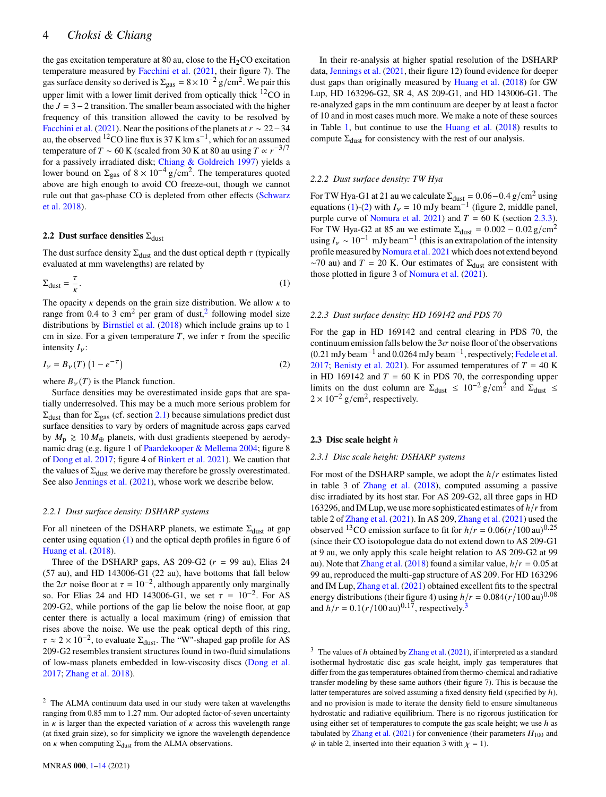# 4 *Choksi & Chiang*

the gas excitation temperature at 80 au, close to the  $H_2CO$  excitation temperature measured by [Facchini et al.](#page-12-32) [\(2021,](#page-12-32) their figure 7). The gas surface density so derived is  $\Sigma_{\rm gas} = 8 \times 10^{-2}$  g/cm<sup>2</sup>. We pair this upper limit with a lower limit derived from optically thick <sup>12</sup>CO in the  $J = 3-2$  transition. The smaller beam associated with the higher frequency of this transition allowed the cavity to be resolved by [Facchini et al.](#page-12-32) [\(2021\)](#page-12-32). Near the positions of the planets at  $r \sim 22-34$ au, the observed <sup>12</sup>CO line flux is 37 K km s<sup>-1</sup>, which for an assumed temperature of  $T \sim 60$  K (scaled from 30 K at 80 au using  $T \propto r^{-3/7}$ for a passively irradiated disk; [Chiang & Goldreich](#page-12-36) [1997\)](#page-12-36) yields a lower bound on  $\Sigma_{\text{gas}}$  of  $8 \times 10^{-4}$  g/cm<sup>2</sup>. The temperatures quoted above are high enough to avoid CO freeze-out, though we cannot rule out that gas-phase CO is depleted from other effects [\(Schwarz](#page-13-11) [et al.](#page-13-11) [2018\)](#page-13-11).

# <span id="page-3-0"></span>**2.2 Dust surface densities**  $\Sigma_{\text{dust}}$

The dust surface density  $\Sigma_{\text{dust}}$  and the dust optical depth  $\tau$  (typically evaluated at mm wavelengths) are related by

$$
\Sigma_{\text{dust}} = \frac{\tau}{\kappa}.\tag{1}
$$

The opacity  $\kappa$  depends on the grain size distribution. We allow  $\kappa$  to range from 0.4 to 3 cm<sup>[2](#page-3-2)</sup> per gram of dust,  $\frac{2}{3}$  following model size distributions by [Birnstiel et al.](#page-12-37) [\(2018\)](#page-12-37) which include grains up to 1 cm in size. For a given temperature T, we infer  $\tau$  from the specific intensity  $I_{\nu}$ :

<span id="page-3-4"></span>
$$
I_V = B_V(T) \left( 1 - e^{-\tau} \right) \tag{2}
$$

where  $B_{\nu}(T)$  is the Planck function.

Surface densities may be overestimated inside gaps that are spatially underresolved. This may be a much more serious problem for  $\Sigma_{\text{dust}}$  than for  $\Sigma_{\text{gas}}$  (cf. section [2.1\)](#page-1-1) because simulations predict dust surface densities to vary by orders of magnitude across gaps carved by  $M_{\rm p} \geq 10 M_{\oplus}$  planets, with dust gradients steepened by aerodynamic drag (e.g. figure 1 of [Paardekooper & Mellema](#page-13-21) [2004;](#page-13-21) figure 8 of [Dong et al.](#page-12-21) [2017;](#page-12-21) figure 4 of [Binkert et al.](#page-12-38) [2021\)](#page-12-38). We caution that the values of  $\Sigma_{\text{dust}}$  we derive may therefore be grossly overestimated. See also [Jennings et al.](#page-12-34) [\(2021\)](#page-12-34), whose work we describe below.

#### *2.2.1 Dust surface density: DSHARP systems*

For all nineteen of the DSHARP planets, we estimate  $\Sigma_{\text{dust}}$  at gap center using equation [\(1\)](#page-3-3) and the optical depth profiles in figure 6 of [Huang et al.](#page-12-23) [\(2018\)](#page-12-23).

Three of the DSHARP gaps, AS 209-G2  $(r = 99 \text{ au})$ , Elias 24 (57 au), and HD 143006-G1 (22 au), have bottoms that fall below the  $2\sigma$  noise floor at  $\tau = 10^{-2}$ , although apparently only marginally so. For Elias 24 and HD 143006-G1, we set  $\tau = 10^{-2}$ . For AS 209-G2, while portions of the gap lie below the noise floor, at gap center there is actually a local maximum (ring) of emission that rises above the noise. We use the peak optical depth of this ring,  $\tau \approx 2 \times 10^{-2}$ , to evaluate  $\Sigma_{\text{dust}}$ . The "W"-shaped gap profile for AS 209-G2 resembles transient structures found in two-fluid simulations of low-mass planets embedded in low-viscosity discs [\(Dong et al.](#page-12-21) [2017;](#page-12-21) [Zhang et al.](#page-13-1) [2018\)](#page-13-1).

In their re-analysis at higher spatial resolution of the DSHARP data, [Jennings et al.](#page-12-34) [\(2021,](#page-12-34) their figure 12) found evidence for deeper dust gaps than originally measured by [Huang et al.](#page-12-23) [\(2018\)](#page-12-23) for GW Lup, HD 163296-G2, SR 4, AS 209-G1, and HD 143006-G1. The re-analyzed gaps in the mm continuum are deeper by at least a factor of 10 and in most cases much more. We make a note of these sources in Table [1,](#page-2-0) but continue to use the [Huang et al.](#page-12-23) [\(2018\)](#page-12-23) results to compute  $\Sigma_{\text{dust}}$  for consistency with the rest of our analysis.

#### *2.2.2 Dust surface density: TW Hya*

For TW Hya-G1 at 21 au we calculate  $\Sigma_{\text{dust}} = 0.06 - 0.4 \text{ g/cm}^2$  using equations [\(1\)](#page-3-3)-[\(2\)](#page-3-4) with  $I_v = 10$  mJy beam<sup>-1</sup> (figure 2, middle panel, purple curve of [Nomura et al.](#page-13-16) [2021\)](#page-13-16) and  $T = 60$  K (section [2.3.3\)](#page-4-2). For TW Hya-G2 at 85 au we estimate  $\Sigma_{\text{dust}} = 0.002 - 0.02 \text{ g/cm}^2$ using  $I_v \sim 10^{-1}$  mJy beam<sup>-1</sup> (this is an extrapolation of the intensity profile measured by [Nomura et al.](#page-13-16) [2021](#page-13-16) which does not extend beyond  $~\sim$ 70 au) and T = 20 K. Our estimates of  $\Sigma_{\text{dust}}$  are consistent with those plotted in figure 3 of [Nomura et al.](#page-13-16) [\(2021\)](#page-13-16).

#### <span id="page-3-3"></span>*2.2.3 Dust surface density: HD 169142 and PDS 70*

For the gap in HD 169142 and central clearing in PDS 70, the continuum emission falls below the  $3\sigma$  noise floor of the observations  $(0.21 \text{ mJy beam}^{-1}$  and  $0.0264 \text{ mJy beam}^{-1}$ , respectively; [Fedele et al.](#page-12-28) [2017;](#page-12-28) [Benisty et al.](#page-12-10) [2021\)](#page-12-10). For assumed temperatures of  $T = 40$  K in HD 169142 and  $T = 60$  K in PDS 70, the corresponding upper limits on the dust column are  $\Sigma_{\text{dust}} \leq 10^{-2} \text{ g/cm}^2$  and  $\Sigma_{\text{dust}} \leq$  $2 \times 10^{-2}$  g/cm<sup>2</sup>, respectively.

#### <span id="page-3-1"></span>**2.3 Disc scale height**  $h$

#### *2.3.1 Disc scale height: DSHARP systems*

For most of the DSHARP sample, we adopt the  $h/r$  estimates listed in table 3 of [Zhang et al.](#page-13-1) [\(2018\)](#page-13-1), computed assuming a passive disc irradiated by its host star. For AS 209-G2, all three gaps in HD 163296, and IM Lup, we use more sophisticated estimates of  $h/r$  from table 2 of [Zhang et al.](#page-13-12) [\(2021\)](#page-13-12). In AS 209, [Zhang et al.](#page-13-12) [\(2021\)](#page-13-12) used the observed <sup>13</sup>CO emission surface to fit for  $h/r = 0.06(r/100 \text{ au})^{0.25}$ (since their CO isotopologue data do not extend down to AS 209-G1 at 9 au, we only apply this scale height relation to AS 209-G2 at 99 au). Note that [Zhang et al.](#page-13-1) [\(2018\)](#page-13-1) found a similar value,  $h/r = 0.05$  at 99 au, reproduced the multi-gap structure of AS 209. For HD 163296 and IM Lup, [Zhang et al.](#page-13-12) [\(2021\)](#page-13-12) obtained excellent fits to the spectral energy distributions (their figure 4) using  $h/r = 0.084(r/100 \text{ au})^{0.08}$ and  $\overrightarrow{h}/r = 0.1(r/100 \text{ au})^{0.17}$ , respectively.<sup>[3](#page-3-5)</sup>

<span id="page-3-5"></span><sup>3</sup> The values of *h* obtained by [Zhang et al.](#page-13-12) [\(2021\)](#page-13-12), if interpreted as a standard isothermal hydrostatic disc gas scale height, imply gas temperatures that differ from the gas temperatures obtained from thermo-chemical and radiative transfer modeling by these same authors (their figure 7). This is because the latter temperatures are solved assuming a fixed density field (specified by  $h$ ), and no provision is made to iterate the density field to ensure simultaneous hydrostatic and radiative equilibrium. There is no rigorous justification for using either set of temperatures to compute the gas scale height; we use  $h$  as tabulated by [Zhang et al.](#page-13-12) [\(2021\)](#page-13-12) for convenience (their parameters  $H_{100}$  and  $\psi$  in table 2, inserted into their equation 3 with  $\chi = 1$ ).

<span id="page-3-2"></span><sup>2</sup> The ALMA continuum data used in our study were taken at wavelengths ranging from 0.85 mm to 1.27 mm. Our adopted factor-of-seven uncertainty in  $\kappa$  is larger than the expected variation of  $\kappa$  across this wavelength range (at fixed grain size), so for simplicity we ignore the wavelength dependence on  $\kappa$  when computing  $\Sigma_{\text{dust}}$  from the ALMA observations.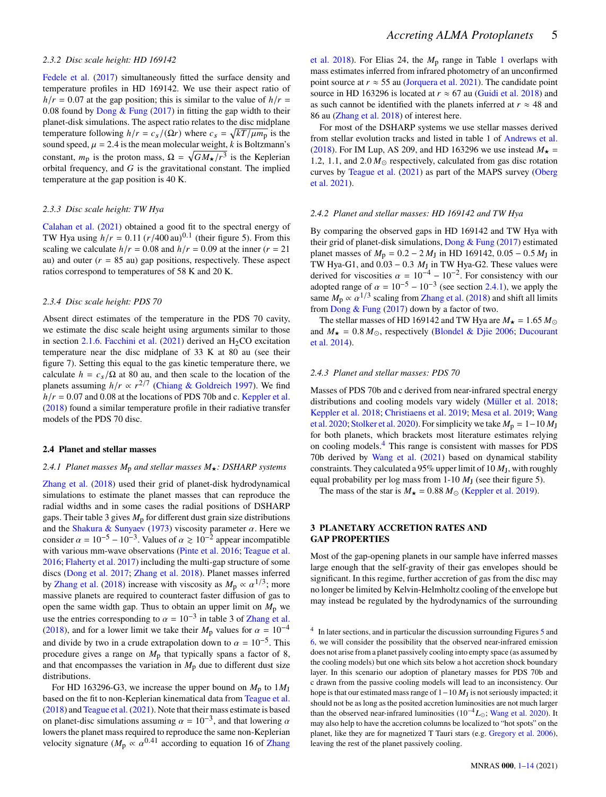#### *2.3.2 Disc scale height: HD 169142*

[Fedele et al.](#page-12-28) [\(2017\)](#page-12-28) simultaneously fitted the surface density and temperature profiles in HD 169142. We use their aspect ratio of  $h/r = 0.07$  at the gap position; this is similar to the value of  $h/r =$ 0.08 found by Dong  $&$  Fung [\(2017\)](#page-12-14) in fitting the gap width to their planet-disk simulations. The aspect ratio relates to the disc midplane temperature following  $h/r = c_s/(\Omega r)$  where  $c_s = \sqrt{kT/\mu m_p}$  is the sound speed,  $\mu = 2.4$  is the mean molecular weight, k is Boltzmann's constant,  $m_p$  is the proton mass,  $\Omega = \sqrt{GM_x/r^3}$  is the Keplerian orbital frequency, and  $G$  is the gravitational constant. The implied temperature at the gap position is 40 K.

#### <span id="page-4-2"></span>*2.3.3 Disc scale height: TW Hya*

[Calahan et al.](#page-12-33) [\(2021\)](#page-12-33) obtained a good fit to the spectral energy of TW Hya using  $h/r = 0.11 (r/400 \text{ au})^{0.1}$  (their figure 5). From this scaling we calculate  $h/r = 0.08$  and  $h/r = 0.09$  at the inner  $(r = 21)$ au) and outer ( $r = 85$  au) gap positions, respectively. These aspect ratios correspond to temperatures of 58 K and 20 K.

#### *2.3.4 Disc scale height: PDS 70*

Absent direct estimates of the temperature in the PDS 70 cavity, we estimate the disc scale height using arguments similar to those in section [2.1.6.](#page-2-1) [Facchini et al.](#page-12-32)  $(2021)$  derived an H<sub>2</sub>CO excitation temperature near the disc midplane of 33 K at 80 au (see their figure 7). Setting this equal to the gas kinetic temperature there, we calculate  $h = c_s/\Omega$  at 80 au, and then scale to the location of the planets assuming  $h/r \propto r^{2/7}$  [\(Chiang & Goldreich](#page-12-36) [1997\)](#page-12-36). We find  $h/r = 0.07$  and 0.08 at the locations of PDS 70b and c. [Keppler et al.](#page-12-7) [\(2018\)](#page-12-7) found a similar temperature profile in their radiative transfer models of the PDS 70 disc.

# **2.4 Planet and stellar masses**

#### <span id="page-4-1"></span>2.4.1 Planet masses  $M_p$  and stellar masses  $M_{\star}$ : DSHARP systems

[Zhang et al.](#page-13-1) [\(2018\)](#page-13-1) used their grid of planet-disk hydrodynamical simulations to estimate the planet masses that can reproduce the radial widths and in some cases the radial positions of DSHARP gaps. Their table 3 gives  $M<sub>p</sub>$  for different dust grain size distributions and the [Shakura & Sunyaev](#page-13-22) [\(1973\)](#page-13-22) viscosity parameter  $\alpha$ . Here we consider  $\alpha = 10^{-5} - 10^{-3}$ . Values of  $\alpha \ge 10^{-2}$  appear incompatible with various mm-wave observations [\(Pinte et al.](#page-13-23) [2016;](#page-13-23) [Teague et al.](#page-13-24) [2016;](#page-13-24) [Flaherty et al.](#page-12-39) [2017\)](#page-12-39) including the multi-gap structure of some discs [\(Dong et al.](#page-12-21) [2017;](#page-12-21) [Zhang et al.](#page-13-1) [2018\)](#page-13-1). Planet masses inferred by [Zhang et al.](#page-13-1) [\(2018\)](#page-13-1) increase with viscosity as  $M_p \propto \alpha^{1/3}$ ; more massive planets are required to counteract faster diffusion of gas to open the same width gap. Thus to obtain an upper limit on  $M_p$  we use the entries corresponding to  $\alpha = 10^{-3}$  in table 3 of [Zhang et al.](#page-13-1) [\(2018\)](#page-13-1), and for a lower limit we take their  $M<sub>p</sub>$  values for  $\alpha = 10^{-4}$ and divide by two in a crude extrapolation down to  $\alpha = 10^{-5}$ . This procedure gives a range on  $M<sub>p</sub>$  that typically spans a factor of 8, and that encompasses the variation in  $M<sub>p</sub>$  due to different dust size distributions.

For HD 163296-G3, we increase the upper bound on  $M_p$  to  $1M_J$ based on the fit to non-Keplerian kinematical data from [Teague et al.](#page-13-5) [\(2018\)](#page-13-5) and [Teague et al.](#page-13-6) [\(2021\)](#page-13-6). Note that their mass estimate is based on planet-disc simulations assuming  $\alpha = 10^{-3}$ , and that lowering  $\alpha$ lowers the planet mass required to reproduce the same non-Keplerian velocity signature ( $M_p \propto \alpha^{0.41}$  according to equation 16 of [Zhang](#page-13-1) [et al.](#page-13-1) [2018\)](#page-13-1). For Elias 24, the  $M<sub>p</sub>$  range in Table [1](#page-2-0) overlaps with mass estimates inferred from infrared photometry of an unconfirmed point source at  $r \approx 55$  au [\(Jorquera et al.](#page-12-12) [2021\)](#page-12-12). The candidate point source in HD 163296 is located at  $r \approx 67$  au [\(Guidi et al.](#page-12-11) [2018\)](#page-12-11) and as such cannot be identified with the planets inferred at  $r \approx 48$  and 86 au [\(Zhang et al.](#page-13-1) [2018\)](#page-13-1) of interest here.

For most of the DSHARP systems we use stellar masses derived from stellar evolution tracks and listed in table 1 of [Andrews et al.](#page-12-2) [\(2018\)](#page-12-2). For IM Lup, AS 209, and HD 163296 we use instead  $M_{\star}$  = 1.2, 1.1, and 2.0  $M_{\odot}$  respectively, calculated from gas disc rotation curves by [Teague et al.](#page-13-6) [\(2021\)](#page-13-6) as part of the MAPS survey [\(Oberg](#page-13-0) [et al.](#page-13-0) [2021\)](#page-13-0).

#### *2.4.2 Planet and stellar masses: HD 169142 and TW Hya*

By comparing the observed gaps in HD 169142 and TW Hya with their grid of planet-disk simulations, Dong  $&$  Fung [\(2017\)](#page-12-14) estimated planet masses of  $M_p = 0.2 - 2 M_J$  in HD 169142, 0.05 – 0.5  $M_J$  in TW Hya-G1, and  $0.03 - 0.3$  M<sub>J</sub> in TW Hya-G2. These values were derived for viscosities  $\alpha = 10^{-4} - 10^{-2}$ . For consistency with our adopted range of  $\alpha = 10^{-5} - 10^{-3}$  (see section [2.4.1\)](#page-4-1), we apply the same  $M_p \propto \alpha^{1/3}$  scaling from [Zhang et al.](#page-13-1) [\(2018\)](#page-13-1) and shift all limits from Dong  $&$  Fung [\(2017\)](#page-12-14) down by a factor of two.

The stellar masses of HD 169142 and TW Hya are  $M_{\star} = 1.65 M_{\odot}$ and  $M_{\star} = 0.8 M_{\odot}$ , respectively [\(Blondel & Djie](#page-12-30) [2006;](#page-12-30) [Ducourant](#page-12-29) [et al.](#page-12-29) [2014\)](#page-12-29).

#### *2.4.3 Planet and stellar masses: PDS 70*

Masses of PDS 70b and c derived from near-infrared spectral energy distributions and cooling models vary widely [\(Müller et al.](#page-13-15) [2018;](#page-13-15) [Keppler et al.](#page-12-7) [2018;](#page-12-7) [Christiaens et al.](#page-12-40) [2019;](#page-12-40) [Mesa et al.](#page-13-25) [2019;](#page-13-25) [Wang](#page-13-2) [et al.](#page-13-2) [2020;](#page-13-2) [Stolker et al.](#page-13-26) [2020\)](#page-13-26). For simplicity we take  $M_p = 1-10 M_J$ for both planets, which brackets most literature estimates relying on cooling models.[4](#page-4-3) This range is consistent with masses for PDS 70b derived by [Wang et al.](#page-13-3) [\(2021\)](#page-13-3) based on dynamical stability constraints. They calculated a 95% upper limit of 10  $M<sub>J</sub>$ , with roughly equal probability per log mass from  $1-10 M_J$  (see their figure 5).

The mass of the star is  $M_{\star} = 0.88 M_{\odot}$  [\(Keppler et al.](#page-12-31) [2019\)](#page-12-31).

# <span id="page-4-0"></span>**3 PLANETARY ACCRETION RATES AND GAP PROPERTIES**

Most of the gap-opening planets in our sample have inferred masses large enough that the self-gravity of their gas envelopes should be significant. In this regime, further accretion of gas from the disc may no longer be limited by Kelvin-Helmholtz cooling of the envelope but may instead be regulated by the hydrodynamics of the surrounding

<span id="page-4-3"></span><sup>4</sup> In later sections, and in particular the discussion surrounding Figures [5](#page-10-1) and [6,](#page-11-0) we will consider the possibility that the observed near-infrared emission does not arise from a planet passively cooling into empty space (as assumed by the cooling models) but one which sits below a hot accretion shock boundary layer. In this scenario our adoption of planetary masses for PDS 70b and c drawn from the passive cooling models will lead to an inconsistency. Our hope is that our estimated mass range of  $1-10 M_J$  is not seriously impacted; it should not be as long as the posited accretion luminosities are not much larger than the observed near-infrared luminosities ( $10^{-4}L_{\odot}$ ; [Wang et al.](#page-13-2) [2020\)](#page-13-2). It may also help to have the accretion columns be localized to "hot spots" on the planet, like they are for magnetized T Tauri stars (e.g. [Gregory et al.](#page-12-41) [2006\)](#page-12-41), leaving the rest of the planet passively cooling.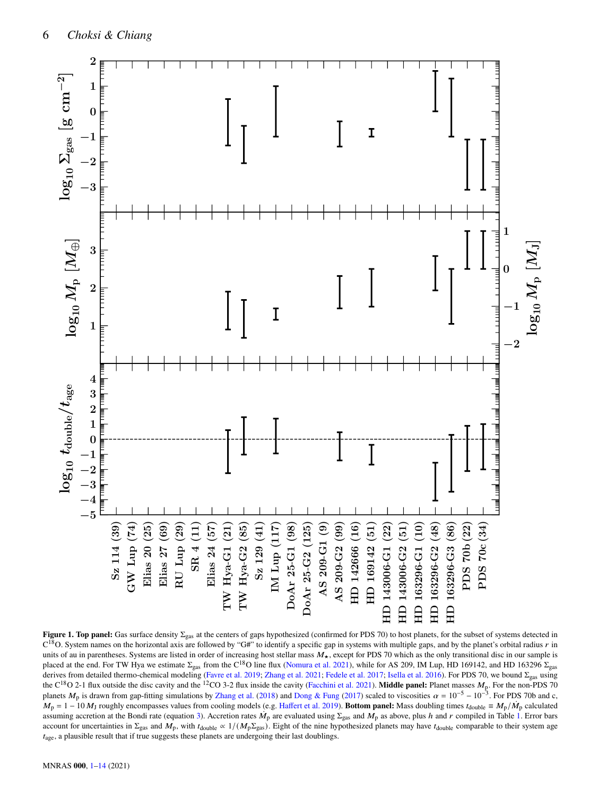

<span id="page-5-0"></span>**Figure 1. Top panel:** Gas surface density  $\Sigma_{\text{gas}}$  at the centers of gaps hypothesized (confirmed for PDS 70) to host planets, for the subset of systems detected in  $C^{18}O$ . System names on the horizontal axis are followed by "G#" to identify a specific gap in systems with multiple gaps, and by the planet's orbital radius r in units of au in parentheses. Systems are listed in order of increasing host stellar mass  $M_{\star}$ , except for PDS 70 which as the only transitional disc in our sample is placed at the end. For TW Hya we estimate  $\Sigma_{\rm gas}$  from the C<sup>18</sup>O line flux [\(Nomura et al.](#page-13-16) [2021\)](#page-13-16), while for AS 209, IM Lup, HD 169142, and HD 163296  $\Sigma_{\rm gas}$ derives from detailed thermo-chemical modeling [\(Favre et al.](#page-12-20) [2019;](#page-12-20) [Zhang et al.](#page-13-12) [2021;](#page-13-12) [Fedele et al.](#page-12-28) [2017;](#page-12-28) [Isella et al.](#page-12-27) [2016\)](#page-12-27). For PDS 70, we bound Σgas using the C<sup>18</sup>O 2-1 flux outside the disc cavity and the <sup>12</sup>CO 3-2 flux inside the cavity [\(Facchini et al.](#page-12-32) [2021\)](#page-12-32). **Middle panel:** Planet masses  $M_p$ . For the non-PDS 70 planets  $M_p$  is drawn from gap-fitting simulations by [Zhang et al.](#page-13-1) [\(2018\)](#page-13-1) and [Dong & Fung](#page-12-14) [\(2017\)](#page-12-14) scaled to viscosities  $\alpha = 10^{-5} - 10^{-3}$ . For PDS 70b and c,  $M_{\rm p} = 1 - 10 M_{\rm J}$  roughly encompasses values from cooling models (e.g. [Haffert et al.](#page-12-8) [2019\)](#page-12-8). Bottom panel: Mass doubling times  $t_{\rm double} \equiv M_{\rm p}/\dot{M}_{\rm p}$  calculated assuming accretion at the Bondi rate (equation [3\)](#page-6-0). Accretion rates  $\dot{M}_p$  are evaluated using  $\Sigma_{\rm gas}$  and  $M_p$  as above, plus h and r compiled in Table [1.](#page-2-0) Error bars account for uncertainties in  $\Sigma_{\text{gas}}$  and  $M_{\text{p}}$ , with  $t_{\text{double}} \propto 1/(M_{\text{p}}\Sigma_{\text{gas}})$ . Eight of the nine hypothesized planets may have  $t_{\text{double}}$  comparable to their system age  $t<sub>age</sub>$ , a plausible result that if true suggests these planets are undergoing their last doublings.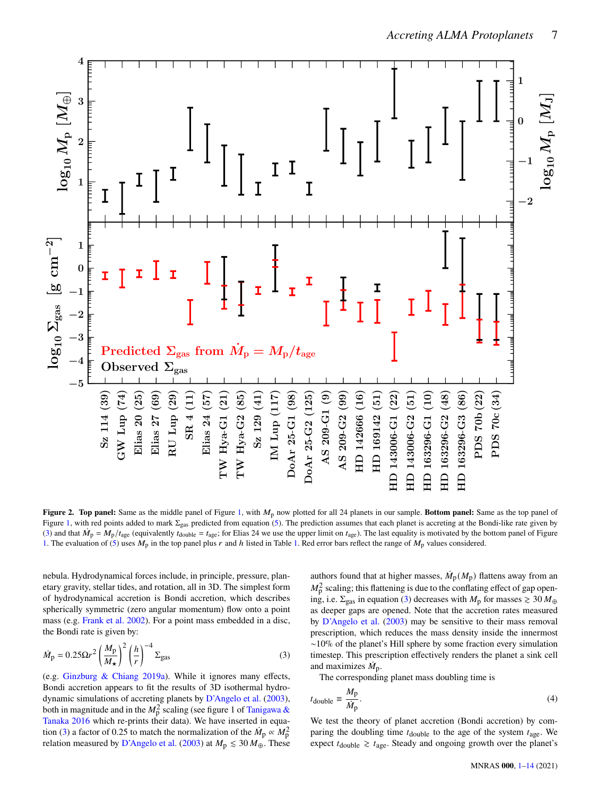

**Figure 2. Top panel:** Same as the middle panel of Figure [1,](#page-5-0) with  $M<sub>p</sub>$  now plotted for all 24 planets in our sample. Bottom panel: Same as the top panel of Figure [1,](#page-5-0) with red points added to mark  $\Sigma_{gas}$  predicted from equation [\(5\)](#page-8-0). The prediction assumes that each planet is accreting at the Bondi-like rate given by [\(3\)](#page-6-0) and that  $\dot{M}_p = M_p/t_{\text{age}}$  (equivalently  $t_{\text{double}} = t_{\text{age}}$ ; for Elias 24 we use the upper limit on  $t_{\text{age}}$ ). The last equality is motivated by the bottom panel of Figure [1.](#page-2-0) The evaluation of [\(5\)](#page-8-0) uses  $M_p$  in the top panel plus r and h listed in Table 1. Red error bars reflect the range of  $M_p$  values considered.

nebula. Hydrodynamical forces include, in principle, pressure, planetary gravity, stellar tides, and rotation, all in 3D. The simplest form of hydrodynamical accretion is Bondi accretion, which describes spherically symmetric (zero angular momentum) flow onto a point mass (e.g. [Frank et al.](#page-12-42) [2002\)](#page-12-42). For a point mass embedded in a disc, the Bondi rate is given by:

$$
\dot{M}_{\rm p} = 0.25 \Omega r^2 \left(\frac{M_{\rm p}}{M_{\star}}\right)^2 \left(\frac{h}{r}\right)^{-4} \Sigma_{\rm gas} \tag{3}
$$

(e.g. [Ginzburg & Chiang](#page-12-16) [2019a\)](#page-12-16). While it ignores many effects, Bondi accretion appears to fit the results of 3D isothermal hydrodynamic simulations of accreting planets by [D'Angelo et al.](#page-12-15) [\(2003\)](#page-12-15), both in magnitude and in the  $M_0^2$  scaling (see figure 1 of [Tanigawa &](#page-13-8) [Tanaka](#page-13-8) [2016](#page-13-8) which re-prints their data). We have inserted in equa-tion [\(3\)](#page-6-0) a factor of 0.25 to match the normalization of the  $\dot{M}_{\rm p} \propto M_{\rm p}^2$ relation measured by [D'Angelo et al.](#page-12-15) [\(2003\)](#page-12-15) at  $M_{\rm p} \lesssim 30 M_{\oplus}$ . These

<span id="page-6-1"></span>authors found that at higher masses,  $\dot{M}_\text{p}(M_\text{p})$  flattens away from an  $M_p^2$  scaling; this flattening is due to the conflating effect of gap opening, i.e.  $\Sigma_{\text{gas}}$  in equation [\(3\)](#page-6-0) decreases with  $M_{\text{p}}$  for masses  $\geq 30 M_{\oplus}$ as deeper gaps are opened. Note that the accretion rates measured by [D'Angelo et al.](#page-12-15) [\(2003\)](#page-12-15) may be sensitive to their mass removal prescription, which reduces the mass density inside the innermost ∼10% of the planet's Hill sphere by some fraction every simulation timestep. This prescription effectively renders the planet a sink cell and maximizes  $\dot{M}_{\rm p}$ .

<span id="page-6-0"></span>The corresponding planet mass doubling time is

$$
t_{\text{double}} \equiv \frac{M_{\text{p}}}{\dot{M}_{\text{p}}}.\tag{4}
$$

We test the theory of planet accretion (Bondi accretion) by comparing the doubling time  $t_{\text{double}}$  to the age of the system  $t_{\text{age}}$ . We expect  $t_{\text{double}} \geq t_{\text{age}}$ . Steady and ongoing growth over the planet's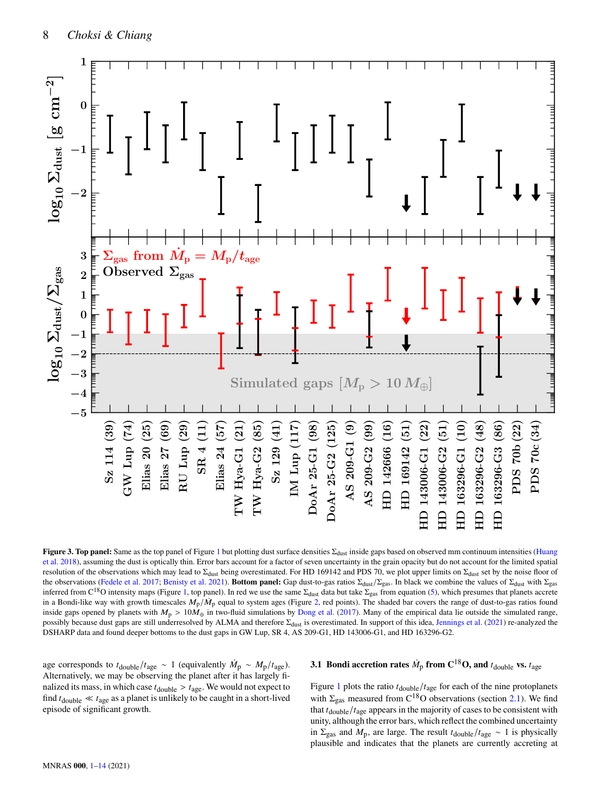

**Figure 3. Top panel:** Same as the top panel of Figure [1](#page-5-0) but plotting dust surface densities  $Σ<sub>dust</sub>$  inside gaps based on observed mm continuum intensities [\(Huang](#page-12-23) [et al.](#page-12-23) [2018\)](#page-12-23), assuming the dust is optically thin. Error bars account for a factor of seven uncertainty in the grain opacity but do not account for the limited spatial resolution of the observations which may lead to  $\Sigma_{\text{dust}}$  being overestimated. For HD 169142 and PDS 70, we plot upper limits on  $\Sigma_{\text{dust}}$  set by the noise floor of the observations [\(Fedele et al.](#page-12-28) [2017;](#page-12-28) [Benisty et al.](#page-12-10) [2021\)](#page-12-10). **Bottom panel:** Gap dust-to-gas ratios Σ<sub>dust</sub>/Σ<sub>gas</sub>. In black we combine the values of Σ<sub>dust</sub> with Σ<sub>gas</sub> inferred from C<sup>18</sup>O intensity maps (Figure [1,](#page-5-0) top panel). In red we use the same  $\Sigma_{\text{dust}}$  data but take  $\Sigma_{\text{gas}}$  from equation [\(5\)](#page-8-0), which presumes that planets accrete in a Bondi-like way with growth timescales  $M_{\rm p}/M_{\rm p}$  equal to system ages (Figure [2,](#page-6-1) red points). The shaded bar covers the range of dust-to-gas ratios found inside gaps opened by planets with  $M_p > 10M_{\oplus}$  in two-fluid simulations by [Dong et al.](#page-12-21) [\(2017\)](#page-12-21). Many of the empirical data lie outside the simulated range, possibly because dust gaps are still underresolved by ALMA and therefore Σ<sub>dust</sub> is overestimated. In support of this idea, [Jennings et al.](#page-12-34) [\(2021\)](#page-12-34) re-analyzed the DSHARP data and found deeper bottoms to the dust gaps in GW Lup, SR 4, AS 209-G1, HD 143006-G1, and HD 163296-G2.

age corresponds to  $t_{\text{double}}/t_{\text{age}} \sim 1$  (equivalently  $\dot{M}_{\text{p}} \sim M_{\text{p}}/t_{\text{age}}$ ). Alternatively, we may be observing the planet after it has largely finalized its mass, in which case  $t_{\text{double}} > t_{\text{age}}$ . We would not expect to find  $t_{\text{double}} \ll t_{\text{age}}$  as a planet is unlikely to be caught in a short-lived episode of significant growth.

# <span id="page-7-1"></span><span id="page-7-0"></span>**3.1 Bondi accretion rates**  $\dot{M}_p$  **from C<sup>18</sup>O, and**  $t_{\text{double}}$  **vs.**  $t_{\text{age}}$

Figure [1](#page-5-0) plots the ratio  $t_{\text{double}}/t_{\text{age}}$  for each of the nine protoplanets with  $\Sigma_{\text{gas}}$  measured from C<sup>18</sup>O observations (section [2.1\)](#page-1-1). We find that  $t_{\text{double}}/t_{\text{age}}$  appears in the majority of cases to be consistent with unity, although the error bars, which reflect the combined uncertainty in  $\Sigma_{\text{gas}}$  and  $M_{\text{p}}$ , are large. The result  $t_{\text{double}}/t_{\text{age}} \sim 1$  is physically plausible and indicates that the planets are currently accreting at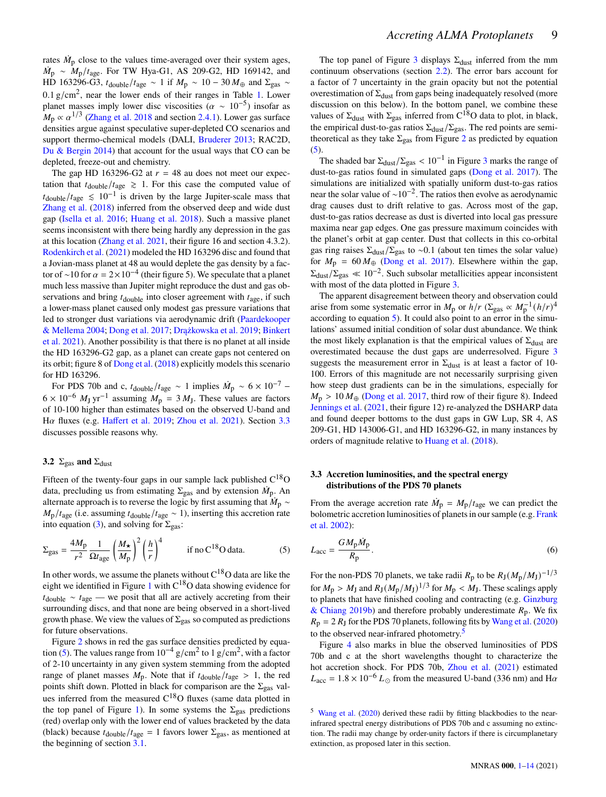rates  $\dot{M}_\text{p}$  close to the values time-averaged over their system ages,  $\dot{M}_{\rm p} \sim M_{\rm p}/t_{\rm age}$ . For TW Hya-G1, AS 209-G2, HD 169142, and HD 163296-G3,  $t_{\text{double}}/t_{\text{age}} \sim 1$  if  $M_{\text{p}} \sim 10 - 30 M_{\oplus}$  and  $\Sigma_{\text{gas}} \sim$  $0.1 \text{ g/cm}^2$ , near the lower ends of their ranges in Table [1.](#page-2-0) Lower planet masses imply lower disc viscosities ( $\alpha \sim 10^{-5}$ ) insofar as  $M_p \propto \alpha^{1/3}$  [\(Zhang et al.](#page-13-1) [2018](#page-13-1) and section [2.4.1\)](#page-4-1). Lower gas surface densities argue against speculative super-depleted CO scenarios and support thermo-chemical models (DALI, [Bruderer](#page-12-24) [2013;](#page-12-24) RAC2D, [Du & Bergin](#page-12-25) [2014\)](#page-12-25) that account for the usual ways that CO can be depleted, freeze-out and chemistry.

The gap HD 163296-G2 at  $r = 48$  au does not meet our expectation that  $t_{\text{double}}/t_{\text{age}} \geq 1$ . For this case the computed value of  $t_{\text{double}}/t_{\text{age}} \leq 10^{-1}$  is driven by the large Jupiter-scale mass that [Zhang et al.](#page-13-1) [\(2018\)](#page-13-1) inferred from the observed deep and wide dust gap [\(Isella et al.](#page-12-27) [2016;](#page-12-27) [Huang et al.](#page-12-23) [2018\)](#page-12-23). Such a massive planet seems inconsistent with there being hardly any depression in the gas at this location [\(Zhang et al.](#page-13-12) [2021,](#page-13-12) their figure 16 and section 4.3.2). [Rodenkirch et al.](#page-13-27) [\(2021\)](#page-13-27) modeled the HD 163296 disc and found that a Jovian-mass planet at 48 au would deplete the gas density by a factor of ∼10 for  $\alpha = 2 \times 10^{-4}$  (their figure 5). We speculate that a planet much less massive than Jupiter might reproduce the dust and gas observations and bring  $t_{\text{double}}$  into closer agreement with  $t_{\text{age}}$ , if such a lower-mass planet caused only modest gas pressure variations that led to stronger dust variations via aerodynamic drift [\(Paardekooper](#page-13-21) [& Mellema](#page-13-21) [2004;](#page-13-21) [Dong et al.](#page-12-21) [2017;](#page-12-21) [Drążkowska et al.](#page-12-43) [2019;](#page-12-43) [Binkert](#page-12-38) [et al.](#page-12-38) [2021\)](#page-12-38). Another possibility is that there is no planet at all inside the HD 163296-G2 gap, as a planet can create gaps not centered on its orbit; figure 8 of [Dong et al.](#page-12-44) [\(2018\)](#page-12-44) explicitly models this scenario for HD 163296.

For PDS 70b and c,  $t_{\text{double}}/t_{\text{age}} \sim 1$  implies  $\dot{M}_{\text{p}} \sim 6 \times 10^{-7}$  –  $6 \times 10^{-6}$   $M_{\text{J}}$  yr<sup>-1</sup> assuming  $M_{\text{p}} = 3$   $M_{\text{J}}$ . These values are factors of 10-100 higher than estimates based on the observed U-band and H $\alpha$  fluxes (e.g. [Haffert et al.](#page-12-8) [2019;](#page-12-8) [Zhou et al.](#page-13-4) [2021\)](#page-13-4). Section [3.3](#page-8-1) discusses possible reasons why.

# **3.2**  $\Sigma_{\text{gas}}$  **and**  $\Sigma_{\text{dust}}$

Fifteen of the twenty-four gaps in our sample lack published  $C^{18}O$ data, precluding us from estimating  $\Sigma_{\text{gas}}$  and by extension  $\dot{M}_{\text{p}}$ . An alternate approach is to reverse the logic by first assuming that  $\dot{M}_{\rm p} \sim$  $M_{\rm p}/t_{\rm age}$  (i.e. assuming  $t_{\rm double}/t_{\rm age} \sim 1$ ), inserting this accretion rate into equation [\(3\)](#page-6-0), and solving for  $\Sigma_{\text{gas}}$ :

$$
\Sigma_{\rm gas} = \frac{4M_{\rm p}}{r^2} \frac{1}{\Omega t_{\rm age}} \left(\frac{M_{\star}}{M_{\rm p}}\right)^2 \left(\frac{h}{r}\right)^4 \qquad \text{if no C}^{18}\text{O data.} \tag{5}
$$

In other words, we assume the planets without  $C^{18}O$  data are like the eight we identified in Figure [1](#page-5-0) with  $C^{18}O$  data showing evidence for  $t_{\text{double}} \sim t_{\text{age}}$  — we posit that all are actively accreting from their surrounding discs, and that none are being observed in a short-lived growth phase. We view the values of  $\Sigma_{\rm gas}$  so computed as predictions for future observations.

Figure [2](#page-6-1) shows in red the gas surface densities predicted by equa-tion [\(5\)](#page-8-0). The values range from  $10^{-4}$  g/cm<sup>2</sup> to  $1 \text{ g/cm}^2$ , with a factor of 2-10 uncertainty in any given system stemming from the adopted range of planet masses  $M_p$ . Note that if  $t_{\text{double}}/t_{\text{age}} > 1$ , the red points shift down. Plotted in black for comparison are the  $\Sigma_{\rm gas}$  values inferred from the measured  $C^{18}O$  fluxes (same data plotted in the top panel of Figure [1\)](#page-5-0). In some systems the  $\Sigma_{\rm gas}$  predictions (red) overlap only with the lower end of values bracketed by the data (black) because  $t_{\text{double}}/t_{\text{age}} = 1$  favors lower  $\Sigma_{\text{gas}}$ , as mentioned at the beginning of section [3.1.](#page-7-0)

The top panel of Figure [3](#page-7-1) displays  $\Sigma_{\text{dust}}$  inferred from the mm continuum observations (section [2.2\)](#page-3-0). The error bars account for a factor of 7 uncertainty in the grain opacity but not the potential overestimation of  $\Sigma_{\text{dust}}$  from gaps being inadequately resolved (more discussion on this below). In the bottom panel, we combine these values of  $\Sigma_{\text{dust}}$  with  $\Sigma_{\text{gas}}$  inferred from  $C^{18}O$  data to plot, in black, the empirical dust-to-gas ratios  $\Sigma_{\text{dust}}/\Sigma_{\text{gas}}$ . The red points are semitheoretical as they take  $\Sigma_{\text{gas}}$  from Figure [2](#page-6-1) as predicted by equation  $(5).$  $(5).$ 

The shaded bar  $\Sigma_{\text{dust}}/\Sigma_{\text{gas}} < 10^{-1}$  in Figure [3](#page-7-1) marks the range of dust-to-gas ratios found in simulated gaps [\(Dong et al.](#page-12-21) [2017\)](#page-12-21). The simulations are initialized with spatially uniform dust-to-gas ratios near the solar value of ∼10−<sup>2</sup> . The ratios then evolve as aerodynamic drag causes dust to drift relative to gas. Across most of the gap, dust-to-gas ratios decrease as dust is diverted into local gas pressure maxima near gap edges. One gas pressure maximum coincides with the planet's orbit at gap center. Dust that collects in this co-orbital gas ring raises  $\Sigma_{\text{dust}}/\Sigma_{\text{gas}}$  to ~0.1 (about ten times the solar value) for  $M_p = 60 M_{\oplus}$  [\(Dong et al.](#page-12-21) [2017\)](#page-12-21). Elsewhere within the gap,  $\Sigma_{\text{dust}}/\Sigma_{\text{gas}} \ll 10^{-2}$ . Such subsolar metallicities appear inconsistent with most of the data plotted in Figure [3.](#page-7-1)

The apparent disagreement between theory and observation could arise from some systematic error in  $M_p$  or  $h/r$  ( $\Sigma_{\text{gas}} \propto M_p^{-1} (h/r)^4$ according to equation [5\)](#page-8-0). It could also point to an error in the simulations' assumed initial condition of solar dust abundance. We think the most likely explanation is that the empirical values of  $\Sigma_{\text{dust}}$  are overestimated because the dust gaps are underresolved. Figure [3](#page-7-1) suggests the measurement error in  $\Sigma_{\text{dust}}$  is at least a factor of 10-100. Errors of this magnitude are not necessarily surprising given how steep dust gradients can be in the simulations, especially for  $M_{\rm p}$  > 10  $M_{\oplus}$  [\(Dong et al.](#page-12-21) [2017,](#page-12-21) third row of their figure 8). Indeed [Jennings et al.](#page-12-34) [\(2021,](#page-12-34) their figure 12) re-analyzed the DSHARP data and found deeper bottoms to the dust gaps in GW Lup, SR 4, AS 209-G1, HD 143006-G1, and HD 163296-G2, in many instances by orders of magnitude relative to [Huang et al.](#page-12-23) [\(2018\)](#page-12-23).

# <span id="page-8-1"></span>**3.3 Accretion luminosities, and the spectral energy distributions of the PDS 70 planets**

<span id="page-8-0"></span>From the average accretion rate  $\dot{M}_p = M_p/t_{\text{age}}$  we can predict the bolometric accretion luminosities of planets in our sample (e.g. [Frank](#page-12-42) [et al.](#page-12-42) [2002\)](#page-12-42):

$$
L_{\rm acc} = \frac{GM_{\rm p}\dot{M}_{\rm p}}{R_{\rm p}}.\tag{6}
$$

For the non-PDS 70 planets, we take radii  $R_p$  to be  $R_J(M_p/M_J)^{-1/3}$ for  $M_{\rm p} > M_{\rm J}$  and  $R_{\rm J} (M_{\rm p}/M_{\rm J})^{1/3}$  for  $M_{\rm p} < M_{\rm J}$ . These scalings apply to planets that have finished cooling and contracting (e.g. [Ginzburg](#page-12-45) [& Chiang](#page-12-45) [2019b\)](#page-12-45) and therefore probably underestimate  $R_p$ . We fix  $R<sub>p</sub> = 2 R<sub>J</sub>$  for the PDS 70 planets, following fits by [Wang et al.](#page-13-2) [\(2020\)](#page-13-2) to the observed near-infrared photometry.<sup>[5](#page-8-2)</sup>

Figure [4](#page-9-0) also marks in blue the observed luminosities of PDS 70b and c at the short wavelengths thought to characterize the hot accretion shock. For PDS 70b, [Zhou et al.](#page-13-4) [\(2021\)](#page-13-4) estimated  $L_{\text{acc}} = 1.8 \times 10^{-6} L_{\odot}$  from the measured U-band (336 nm) and H $\alpha$ 

<span id="page-8-2"></span><sup>5</sup> [Wang et al.](#page-13-2) [\(2020\)](#page-13-2) derived these radii by fitting blackbodies to the nearinfrared spectral energy distributions of PDS 70b and c assuming no extinction. The radii may change by order-unity factors if there is circumplanetary extinction, as proposed later in this section.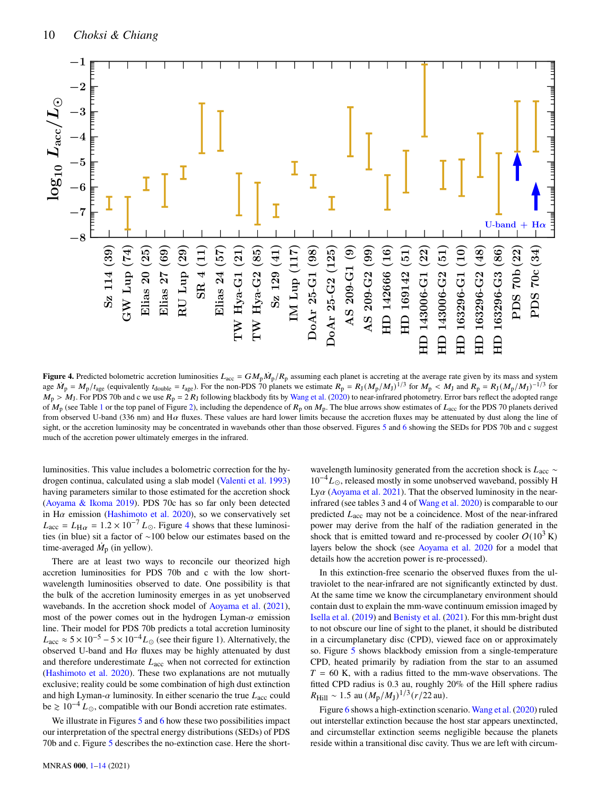

**Figure 4.** Predicted bolometric accretion luminosities  $L_{acc} = GM_p \dot{M}_p / R_p$  assuming each planet is accreting at the average rate given by its mass and system age  $\dot{M}_{\rm p} = M_{\rm p}/t_{\rm age}$  (equivalently  $t_{\rm double} = t_{\rm age}$ ). For the non-PDS 70 planets we estimate  $R_{\rm p} = R_{\rm J} (M_{\rm p}/M_{\rm J})^{1/3}$  for  $M_{\rm p} < M_{\rm J}$  and  $R_{\rm p} = R_{\rm J} (M_{\rm p}/M_{\rm J})^{-1/3}$  for  $M_{\rm p} > M_{\rm J}$ . For PDS 70b and c we use  $R_{\rm p} = 2 R_{\rm J}$  following blackbody fits by [Wang et al.](#page-13-2) [\(2020\)](#page-13-2) to near-infrared photometry. Error bars reflect the adopted range of  $M_p$  (see Table [1](#page-2-0) or the top panel of Figure [2\)](#page-6-1), including the dependence of  $R_p$  on  $M_p$ . The blue arrows show estimates of  $L_{\text{acc}}$  for the PDS 70 planets derived from observed U-band (336 nm) and H $\alpha$  fluxes. These values are hard lower limits because the accretion fluxes may be attenuated by dust along the line of sight, or the accretion luminosity may be concentrated in wavebands other than those observed. Figures [5](#page-10-1) and [6](#page-11-0) showing the SEDs for PDS 70b and c suggest much of the accretion power ultimately emerges in the infrared.

luminosities. This value includes a bolometric correction for the hydrogen continua, calculated using a slab model [\(Valenti et al.](#page-13-28) [1993\)](#page-13-28) having parameters similar to those estimated for the accretion shock [\(Aoyama & Ikoma](#page-12-46) [2019\)](#page-12-46). PDS 70c has so far only been detected in H $\alpha$  emission [\(Hashimoto et al.](#page-12-47) [2020\)](#page-12-47), so we conservatively set  $L_{\text{acc}} = L_{\text{H}\alpha} = 1.2 \times 10^{-7} L_{\odot}$ . Figure [4](#page-9-0) shows that these luminosities (in blue) sit a factor of ∼100 below our estimates based on the time-averaged  $\dot{M}_\text{p}$  (in yellow).

There are at least two ways to reconcile our theorized high accretion luminosities for PDS 70b and c with the low shortwavelength luminosities observed to date. One possibility is that the bulk of the accretion luminosity emerges in as yet unobserved wavebands. In the accretion shock model of [Aoyama et al.](#page-12-48) [\(2021\)](#page-12-48), most of the power comes out in the hydrogen Lyman- $\alpha$  emission line. Their model for PDS 70b predicts a total accretion luminosity  $L_{\text{acc}} \approx 5 \times 10^{-5} - 5 \times 10^{-4} L_{\odot}$  (see their figure 1). Alternatively, the observed U-band and H $\alpha$  fluxes may be highly attenuated by dust and therefore underestimate  $L_{\text{acc}}$  when not corrected for extinction [\(Hashimoto et al.](#page-12-47) [2020\)](#page-12-47). These two explanations are not mutually exclusive; reality could be some combination of high dust extinction and high Lyman- $\alpha$  luminosity. In either scenario the true  $L_{\text{acc}}$  could be  $\geq 10^{-4} L_{\odot}$ , compatible with our Bondi accretion rate estimates.

We illustrate in Figures  $5$  and  $6$  how these two possibilities impact our interpretation of the spectral energy distributions (SEDs) of PDS 70b and c. Figure [5](#page-10-1) describes the no-extinction case. Here the short-

<span id="page-9-0"></span>wavelength luminosity generated from the accretion shock is  $L<sub>acc</sub>$  ∼  $10^{-4}L_{\odot}$ , released mostly in some unobserved waveband, possibly H Ly $\alpha$  [\(Aoyama et al.](#page-12-48) [2021\)](#page-12-48). That the observed luminosity in the nearinfrared (see tables 3 and 4 of [Wang et al.](#page-13-2) [2020\)](#page-13-2) is comparable to our predicted  $L<sub>acc</sub>$  may not be a coincidence. Most of the near-infrared power may derive from the half of the radiation generated in the shock that is emitted toward and re-processed by cooler  $O(10^3 \text{ K})$ layers below the shock (see [Aoyama et al.](#page-12-49) [2020](#page-12-49) for a model that details how the accretion power is re-processed).

In this extinction-free scenario the observed fluxes from the ultraviolet to the near-infrared are not significantly extincted by dust. At the same time we know the circumplanetary environment should contain dust to explain the mm-wave continuum emission imaged by [Isella et al.](#page-12-9) [\(2019\)](#page-12-9) and [Benisty et al.](#page-12-10) [\(2021\)](#page-12-10). For this mm-bright dust to not obscure our line of sight to the planet, it should be distributed in a circumplanetary disc (CPD), viewed face on or approximately so. Figure [5](#page-10-1) shows blackbody emission from a single-temperature CPD, heated primarily by radiation from the star to an assumed  $T = 60$  K, with a radius fitted to the mm-wave observations. The fitted CPD radius is 0.3 au, roughly 20% of the Hill sphere radius  $R_{\text{Hill}} \sim 1.5 \text{ au } (M_{\text{p}}/M_{\text{J}})^{1/3} (r/22 \text{ au}).$ 

Figure [6](#page-11-0) shows a high-extinction scenario. [Wang et al.](#page-13-2) [\(2020\)](#page-13-2) ruled out interstellar extinction because the host star appears unextincted, and circumstellar extinction seems negligible because the planets reside within a transitional disc cavity. Thus we are left with circum-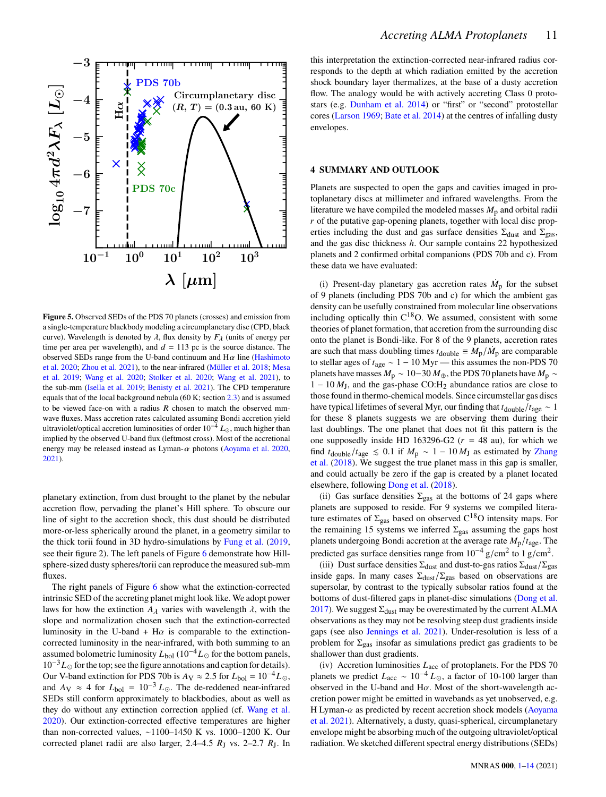

<span id="page-10-1"></span>**Figure 5.** Observed SEDs of the PDS 70 planets (crosses) and emission from a single-temperature blackbody modeling a circumplanetary disc (CPD, black curve). Wavelength is denoted by  $\lambda$ , flux density by  $F_{\lambda}$  (units of energy per time per area per wavelength), and  $d = 113$  pc is the source distance. The observed SEDs range from the U-band continuum and  $H\alpha$  line [\(Hashimoto](#page-12-47) [et al.](#page-12-47) [2020;](#page-12-47) [Zhou et al.](#page-13-4) [2021\)](#page-13-4), to the near-infrared [\(Müller et al.](#page-13-15) [2018;](#page-13-15) [Mesa](#page-13-25) [et al.](#page-13-25) [2019;](#page-13-25) [Wang et al.](#page-13-2) [2020;](#page-13-2) [Stolker et al.](#page-13-26) [2020;](#page-13-26) [Wang et al.](#page-13-3) [2021\)](#page-13-3), to the sub-mm [\(Isella et al.](#page-12-9) [2019;](#page-12-9) [Benisty et al.](#page-12-10) [2021\)](#page-12-10). The CPD temperature equals that of the local background nebula (60 K; section [2.3\)](#page-3-1) and is assumed to be viewed face-on with a radius  $R$  chosen to match the observed mmwave fluxes. Mass accretion rates calculated assuming Bondi accretion yield ultraviolet/optical accretion luminosities of order  $10^{-4} L_{\odot}$ , much higher than implied by the observed U-band flux (leftmost cross). Most of the accretional energy may be released instead as Lyman- $\alpha$  photons [\(Aoyama et al.](#page-12-49) [2020,](#page-12-49) [2021\)](#page-12-48).

planetary extinction, from dust brought to the planet by the nebular accretion flow, pervading the planet's Hill sphere. To obscure our line of sight to the accretion shock, this dust should be distributed more-or-less spherically around the planet, in a geometry similar to the thick torii found in 3D hydro-simulations by [Fung et al.](#page-12-50) [\(2019,](#page-12-50) see their figure 2). The left panels of Figure [6](#page-11-0) demonstrate how Hillsphere-sized dusty spheres/torii can reproduce the measured sub-mm fluxes.

The right panels of Figure [6](#page-11-0) show what the extinction-corrected intrinsic SED of the accreting planet might look like. We adopt power laws for how the extinction  $A_{\lambda}$  varies with wavelength  $\lambda$ , with the slope and normalization chosen such that the extinction-corrected luminosity in the U-band + H $\alpha$  is comparable to the extinctioncorrected luminosity in the near-infrared, with both summing to an assumed bolometric luminosity  $L_{bol}$  (10<sup>-4</sup> $L_{\odot}$  for the bottom panels,  $10^{-3}L_{\odot}$  for the top; see the figure annotations and caption for details). Our V-band extinction for PDS 70b is  $A_V \approx 2.5$  for  $L_{bol} = 10^{-4} L_{\odot}$ , and  $A_V \approx 4$  for  $L_{bol} = 10^{-3} L_{\odot}$ . The de-reddened near-infrared SEDs still conform approximately to blackbodies, about as well as they do without any extinction correction applied (cf. [Wang et al.](#page-13-2) [2020\)](#page-13-2). Our extinction-corrected effective temperatures are higher than non-corrected values, ∼1100–1450 K vs. 1000–1200 K. Our corrected planet radii are also larger,  $2.4-4.5$   $R_J$  vs.  $2-2.7$   $R_J$ . In this interpretation the extinction-corrected near-infrared radius corresponds to the depth at which radiation emitted by the accretion shock boundary layer thermalizes, at the base of a dusty accretion flow. The analogy would be with actively accreting Class 0 protostars (e.g. [Dunham et al.](#page-12-51) [2014\)](#page-12-51) or "first" or "second" protostellar cores [\(Larson](#page-12-52) [1969;](#page-12-52) [Bate et al.](#page-12-53) [2014\)](#page-12-53) at the centres of infalling dusty envelopes.

#### <span id="page-10-0"></span>**4 SUMMARY AND OUTLOOK**

Planets are suspected to open the gaps and cavities imaged in protoplanetary discs at millimeter and infrared wavelengths. From the literature we have compiled the modeled masses  $M<sub>p</sub>$  and orbital radii  $r$  of the putative gap-opening planets, together with local disc properties including the dust and gas surface densities  $\Sigma_{\text{dust}}$  and  $\Sigma_{\text{gas}}$ , and the gas disc thickness  $h$ . Our sample contains 22 hypothesized planets and 2 confirmed orbital companions (PDS 70b and c). From these data we have evaluated:

(i) Present-day planetary gas accretion rates  $\dot{M}_\text{p}$  for the subset of 9 planets (including PDS 70b and c) for which the ambient gas density can be usefully constrained from molecular line observations including optically thin  $C^{18}O$ . We assumed, consistent with some theories of planet formation, that accretion from the surrounding disc onto the planet is Bondi-like. For 8 of the 9 planets, accretion rates are such that mass doubling times  $t_{\text{double}} \equiv M_{\text{p}}/\dot{M}_{\text{p}}$  are comparable to stellar ages of  $t_{\text{age}} \sim 1 - 10 \text{ Myr}$  — this assumes the non-PDS 70 planets have masses  $M_p \sim 10-30 M_{\oplus}$ , the PDS 70 planets have  $M_p \sim$  $1 - 10 M_J$ , and the gas-phase CO:H<sub>2</sub> abundance ratios are close to those found in thermo-chemical models. Since circumstellar gas discs have typical lifetimes of several Myr, our finding that  $t_{\text{double}}/t_{\text{age}} \sim 1$ for these 8 planets suggests we are observing them during their last doublings. The one planet that does not fit this pattern is the one supposedly inside HD 163296-G2 ( $r = 48$  au), for which we find  $t_{\text{double}}/t_{\text{age}} \le 0.1$  if  $M_{\text{p}} \sim 1 - 10 M_{\text{J}}$  as estimated by [Zhang](#page-13-1) [et al.](#page-13-1) [\(2018\)](#page-13-1). We suggest the true planet mass in this gap is smaller, and could actually be zero if the gap is created by a planet located elsewhere, following [Dong et al.](#page-12-44) [\(2018\)](#page-12-44).

(ii) Gas surface densities  $\Sigma_{\text{gas}}$  at the bottoms of 24 gaps where planets are supposed to reside. For 9 systems we compiled literature estimates of  $\Sigma_{\text{gas}}$  based on observed  $C^{18}O$  intensity maps. For the remaining 15 systems we inferred  $\Sigma_{\text{gas}}$  assuming the gaps host planets undergoing Bondi accretion at the average rate  $M_p/t_{\text{age}}$ . The predicted gas surface densities range from  $10^{-4}$  g/cm<sup>2</sup> to  $1$  g/cm<sup>2</sup>.

(iii) Dust surface densities  $\Sigma_{\text{dust}}$  and dust-to-gas ratios  $\Sigma_{\text{dust}}/\Sigma_{\text{gas}}$ inside gaps. In many cases  $\Sigma_{\text{dust}}/\Sigma_{\text{gas}}$  based on observations are supersolar, by contrast to the typically subsolar ratios found at the bottoms of dust-filtered gaps in planet-disc simulations [\(Dong et al.](#page-12-21) [2017\)](#page-12-21). We suggest  $\Sigma_{\text{dust}}$  may be overestimated by the current ALMA observations as they may not be resolving steep dust gradients inside gaps (see also [Jennings et al.](#page-12-34) [2021\)](#page-12-34). Under-resolution is less of a problem for  $\Sigma_{\text{gas}}$  insofar as simulations predict gas gradients to be shallower than dust gradients.

(iv) Accretion luminosities  $L_{\text{acc}}$  of protoplanets. For the PDS 70 planets we predict  $L_{\text{acc}} \sim 10^{-4} L_{\odot}$ , a factor of 10-100 larger than observed in the U-band and H $\alpha$ . Most of the short-wavelength accretion power might be emitted in wavebands as yet unobserved, e.g. H Lyman- $\alpha$  as predicted by recent accretion shock models [\(Aoyama](#page-12-48) [et al.](#page-12-48) [2021\)](#page-12-48). Alternatively, a dusty, quasi-spherical, circumplanetary envelope might be absorbing much of the outgoing ultraviolet/optical radiation. We sketched different spectral energy distributions (SEDs)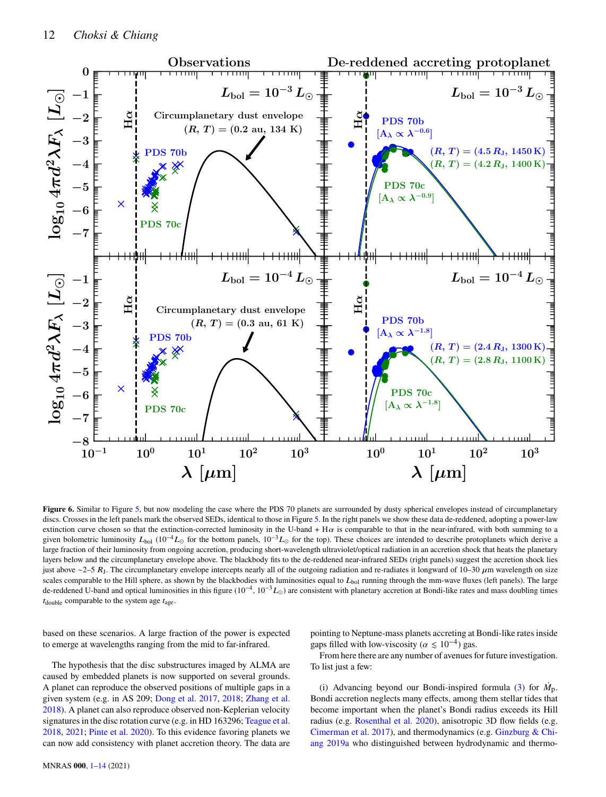

**Figure 6.** Similar to Figure [5,](#page-10-1) but now modeling the case where the PDS 70 planets are surrounded by dusty spherical envelopes instead of circumplanetary discs. Crosses in the left panels mark the observed SEDs, identical to those in Figure [5.](#page-10-1) In the right panels we show these data de-reddened, adopting a power-law extinction curve chosen so that the extinction-corrected luminosity in the U-band + H $\alpha$  is comparable to that in the near-infrared, with both summing to a given bolometric luminosity  $L_{\text{bol}}$  (10<sup>-4</sup> $L_{\odot}$  for the bottom panels, 10<sup>-3</sup> $L_{\odot}$  for the top). These choices are intended to describe protoplanets which derive a large fraction of their luminosity from ongoing accretion, producing short-wavelength ultraviolet/optical radiation in an accretion shock that heats the planetary layers below and the circumplanetary envelope above. The blackbody fits to the de-reddened near-infrared SEDs (right panels) suggest the accretion shock lies just above ∼2–5  $R_J$ . The circumplanetary envelope intercepts nearly all of the outgoing radiation and re-radiates it longward of 10–30  $\mu$ m wavelength on size scales comparable to the Hill sphere, as shown by the blackbodies with luminosities equal to  $L_{bol}$  running through the mm-wave fluxes (left panels). The large de-reddened U-band and optical luminosities in this figure ( $10^{-4}$ ,  $10^{-3}L_{\odot}$ ) are consistent with planetary accretion at Bondi-like rates and mass doubling times  $t_{\text{double}}$  comparable to the system age  $t_{\text{age}}$ .

based on these scenarios. A large fraction of the power is expected to emerge at wavelengths ranging from the mid to far-infrared.

<span id="page-11-0"></span>pointing to Neptune-mass planets accreting at Bondi-like rates inside gaps filled with low-viscosity ( $\alpha \le 10^{-4}$ ) gas.

The hypothesis that the disc substructures imaged by ALMA are caused by embedded planets is now supported on several grounds. A planet can reproduce the observed positions of multiple gaps in a given system (e.g. in AS 209; [Dong et al.](#page-12-21) [2017,](#page-12-21) [2018;](#page-12-44) [Zhang et al.](#page-13-1) [2018\)](#page-13-1). A planet can also reproduce observed non-Keplerian velocity signatures in the disc rotation curve (e.g. in HD 163296; [Teague et al.](#page-13-5) [2018,](#page-13-5) [2021;](#page-13-6) [Pinte et al.](#page-13-29) [2020\)](#page-13-29). To this evidence favoring planets we can now add consistency with planet accretion theory. The data are

From here there are any number of avenues for future investigation. To list just a few:

(i) Advancing beyond our Bondi-inspired formula [\(3\)](#page-6-0) for  $\dot{M}_{\text{D}}$ . Bondi accretion neglects many effects, among them stellar tides that become important when the planet's Bondi radius exceeds its Hill radius (e.g. [Rosenthal et al.](#page-13-9) [2020\)](#page-13-9), anisotropic 3D flow fields (e.g. [Cimerman et al.](#page-12-54) [2017\)](#page-12-54), and thermodynamics (e.g. [Ginzburg & Chi](#page-12-16)[ang](#page-12-16) [2019a](#page-12-16) who distinguished between hydrodynamic and thermo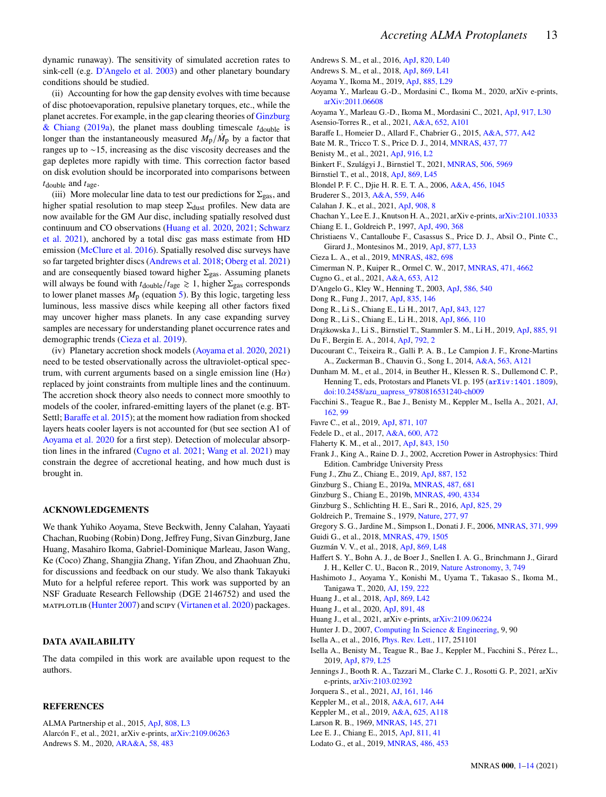dynamic runaway). The sensitivity of simulated accretion rates to sink-cell (e.g. [D'Angelo et al.](#page-12-15) [2003\)](#page-12-15) and other planetary boundary conditions should be studied.

(ii) Accounting for how the gap density evolves with time because of disc photoevaporation, repulsive planetary torques, etc., while the planet accretes. For example, in the gap clearing theories of [Ginzburg](#page-12-16) [& Chiang](#page-12-16) [\(2019a\)](#page-12-16), the planet mass doubling timescale  $t_{\text{double}}$  is longer than the instantaneously measured  $M_{\rm p}/\dot{M}_{\rm p}$  by a factor that ranges up to ∼15, increasing as the disc viscosity decreases and the gap depletes more rapidly with time. This correction factor based on disk evolution should be incorporated into comparisons between  $t_{\text{double}}$  and  $t_{\text{age}}$ .

(iii) More molecular line data to test our predictions for  $\Sigma_{\rm gas}$ , and higher spatial resolution to map steep  $\Sigma_{\text{dust}}$  profiles. New data are now available for the GM Aur disc, including spatially resolved dust continuum and CO observations [\(Huang et al.](#page-12-55) [2020,](#page-12-55) [2021;](#page-12-56) [Schwarz](#page-13-30) [et al.](#page-13-30) [2021\)](#page-13-30), anchored by a total disc gas mass estimate from HD emission [\(McClure et al.](#page-13-31) [2016\)](#page-13-31). Spatially resolved disc surveys have so far targeted brighter discs [\(Andrews et al.](#page-12-2) [2018;](#page-12-2) [Oberg et al.](#page-13-0) [2021\)](#page-13-0) and are consequently biased toward higher  $\Sigma_{\text{gas}}$ . Assuming planets will always be found with  $t_{\text{double}}/t_{\text{age}} \geq 1$ , higher  $\Sigma_{\text{gas}}$  corresponds to lower planet masses  $M_p$  (equation [5\)](#page-8-0). By this logic, targeting less luminous, less massive discs while keeping all other factors fixed may uncover higher mass planets. In any case expanding survey samples are necessary for understanding planet occurrence rates and demographic trends [\(Cieza et al.](#page-12-3) [2019\)](#page-12-3).

<span id="page-12-0"></span>(iv) Planetary accretion shock models [\(Aoyama et al.](#page-12-49) [2020,](#page-12-49) [2021\)](#page-12-48) need to be tested observationally across the ultraviolet-optical spectrum, with current arguments based on a single emission line (H $\alpha$ ) replaced by joint constraints from multiple lines and the continuum. The accretion shock theory also needs to connect more smoothly to models of the cooler, infrared-emitting layers of the planet (e.g. BT-Settl; [Baraffe et al.](#page-12-57) [2015\)](#page-12-57); at the moment how radiation from shocked layers heats cooler layers is not accounted for (but see section A1 of [Aoyama et al.](#page-12-49) [2020](#page-12-49) for a first step). Detection of molecular absorption lines in the infrared [\(Cugno et al.](#page-12-58) [2021;](#page-12-58) [Wang et al.](#page-13-3) [2021\)](#page-13-3) may constrain the degree of accretional heating, and how much dust is brought in.

# **ACKNOWLEDGEMENTS**

We thank Yuhiko Aoyama, Steve Beckwith, Jenny Calahan, Yayaati Chachan, Ruobing (Robin) Dong, Jeffrey Fung, Sivan Ginzburg, Jane Huang, Masahiro Ikoma, Gabriel-Dominique Marleau, Jason Wang, Ke (Coco) Zhang, Shangjia Zhang, Yifan Zhou, and Zhaohuan Zhu, for discussions and feedback on our study. We also thank Takayuki Muto for a helpful referee report. This work was supported by an NSF Graduate Research Fellowship (DGE 2146752) and used the matplotlib [\(Hunter](#page-12-59) [2007\)](#page-12-59) and scipy [\(Virtanen et al.](#page-13-32) [2020\)](#page-13-32) packages.

#### **DATA AVAILABILITY**

The data compiled in this work are available upon request to the authors.

#### **REFERENCES**

<span id="page-12-26"></span><span id="page-12-4"></span><span id="page-12-1"></span>ALMA Partnership et al., 2015, [ApJ,](http://dx.doi.org/10.1088/2041-8205/808/1/L3) [808, L3](https://ui.adsabs.harvard.edu/abs/2015ApJ...808L...3A) Alarcón F., et al., 2021, arXiv e-prints, [arXiv:2109.06263](https://ui.adsabs.harvard.edu/abs/2021arXiv210906263A) Andrews S. M., 2020, [ARA&A,](http://dx.doi.org/10.1146/annurev-astro-031220-010302) [58, 483](https://ui.adsabs.harvard.edu/abs/2020ARA&A..58..483A)

- <span id="page-12-35"></span>Andrews S. M., et al., 2016, [ApJ,](http://dx.doi.org/10.3847/2041-8205/820/2/L40) [820, L40](https://ui.adsabs.harvard.edu/abs/2016ApJ...820L..40A)
- <span id="page-12-2"></span>Andrews S. M., et al., 2018, [ApJ,](http://dx.doi.org/10.3847/2041-8213/aaf741) [869, L41](https://ui.adsabs.harvard.edu/abs/2018ApJ...869L..41A)
- <span id="page-12-46"></span>Aoyama Y., Ikoma M., 2019, [ApJ,](http://dx.doi.org/10.3847/2041-8213/ab5062) [885, L29](https://ui.adsabs.harvard.edu/abs/2019ApJ...885L..29A)
- <span id="page-12-49"></span>Aoyama Y., Marleau G.-D., Mordasini C., Ikoma M., 2020, arXiv e-prints, [arXiv:2011.06608](https://ui.adsabs.harvard.edu/abs/2020arXiv201106608A)
- <span id="page-12-48"></span>Aoyama Y., Marleau G.-D., Ikoma M., Mordasini C., 2021, [ApJ,](http://dx.doi.org/10.3847/2041-8213/ac19bd) [917, L30](https://ui.adsabs.harvard.edu/abs/2021ApJ...917L..30A)
- <span id="page-12-13"></span>Asensio-Torres R., et al., 2021, [A&A,](http://dx.doi.org/10.1051/0004-6361/202140325) [652, A101](https://ui.adsabs.harvard.edu/abs/2021A&A...652A.101A)
- <span id="page-12-57"></span>Baraffe I., Homeier D., Allard F., Chabrier G., 2015, [A&A,](http://dx.doi.org/10.1051/0004-6361/201425481) [577, A42](https://ui.adsabs.harvard.edu/abs/2015A&A...577A..42B)
- <span id="page-12-53"></span>Bate M. R., Tricco T. S., Price D. J., 2014, [MNRAS,](http://dx.doi.org/10.1093/mnras/stt1865) [437, 77](https://ui.adsabs.harvard.edu/abs/2014MNRAS.437...77B)
- <span id="page-12-10"></span>Benisty M., et al., 2021, [ApJ,](http://dx.doi.org/10.3847/2041-8213/ac0f83) [916, L2](https://ui.adsabs.harvard.edu/abs/2021ApJ...916L...2B)
- <span id="page-12-38"></span>Binkert F., Szulágyi J., Birnstiel T., 2021, [MNRAS,](http://dx.doi.org/10.1093/mnras/stab2075) [506, 5969](https://ui.adsabs.harvard.edu/abs/2021MNRAS.506.5969B)
- <span id="page-12-37"></span>Birnstiel T., et al., 2018, [ApJ,](http://dx.doi.org/10.3847/2041-8213/aaf743) [869, L45](https://ui.adsabs.harvard.edu/abs/2018ApJ...869L..45B)
- <span id="page-12-30"></span>Blondel P. F. C., Djie H. R. E. T. A., 2006, [A&A,](http://dx.doi.org/10.1051/0004-6361:20040269) [456, 1045](https://ui.adsabs.harvard.edu/abs/2006A&A...456.1045B)
- <span id="page-12-24"></span>Bruderer S., 2013, [A&A,](http://dx.doi.org/10.1051/0004-6361/201321171) [559, A46](https://ui.adsabs.harvard.edu/abs/2013A&A...559A..46B)
- <span id="page-12-33"></span>Calahan J. K., et al., 2021, [ApJ,](http://dx.doi.org/10.3847/1538-4357/abd255) [908, 8](https://ui.adsabs.harvard.edu/abs/2021ApJ...908....8C)
- <span id="page-12-19"></span>Chachan Y., Lee E. J., Knutson H. A., 2021, arXiv e-prints, [arXiv:2101.10333](https://ui.adsabs.harvard.edu/abs/2021arXiv210110333C)
- <span id="page-12-36"></span>Chiang E. I., Goldreich P., 1997, [ApJ,](http://dx.doi.org/10.1086/304869) [490, 368](https://ui.adsabs.harvard.edu/abs/1997ApJ...490..368C)
- <span id="page-12-40"></span>Christiaens V., Cantalloube F., Casassus S., Price D. J., Absil O., Pinte C., Girard J., Montesinos M., 2019, [ApJ,](http://dx.doi.org/10.3847/2041-8213/ab212b) [877, L33](https://ui.adsabs.harvard.edu/abs/2019ApJ...877L..33C)
- <span id="page-12-3"></span>Cieza L. A., et al., 2019, [MNRAS,](http://dx.doi.org/10.1093/mnras/sty2653) [482, 698](https://ui.adsabs.harvard.edu/abs/2019MNRAS.482..698C)
- <span id="page-12-54"></span>Cimerman N. P., Kuiper R., Ormel C. W., 2017, [MNRAS,](http://dx.doi.org/10.1093/mnras/stx1924) [471, 4662](https://ui.adsabs.harvard.edu/abs/2017MNRAS.471.4662C)
- <span id="page-12-58"></span>Cugno G., et al., 2021, [A&A,](http://dx.doi.org/10.1051/0004-6361/202140632) [653, A12](https://ui.adsabs.harvard.edu/abs/2021A&A...653A..12C)
- <span id="page-12-15"></span>D'Angelo G., Kley W., Henning T., 2003, [ApJ,](http://dx.doi.org/10.1086/367555) [586, 540](https://ui.adsabs.harvard.edu/abs/2003ApJ...586..540D)
- <span id="page-12-14"></span>Dong R., Fung J., 2017, [ApJ,](http://dx.doi.org/10.3847/1538-4357/835/2/146) [835, 146](https://ui.adsabs.harvard.edu/abs/2017ApJ...835..146D)
- <span id="page-12-21"></span>Dong R., Li S., Chiang E., Li H., 2017, [ApJ,](http://dx.doi.org/10.3847/1538-4357/aa72f2) [843, 127](https://ui.adsabs.harvard.edu/abs/2017ApJ...843..127D)
- <span id="page-12-44"></span>Dong R., Li S., Chiang E., Li H., 2018, [ApJ,](http://dx.doi.org/10.3847/1538-4357/aadadd) [866, 110](https://ui.adsabs.harvard.edu/abs/2018ApJ...866..110D)
- <span id="page-12-43"></span>Drążkowska J., Li S., Birnstiel T., Stammler S. M., Li H., 2019, [ApJ,](http://dx.doi.org/10.3847/1538-4357/ab46b7) [885, 91](https://ui.adsabs.harvard.edu/abs/2019ApJ...885...91D)
- <span id="page-12-25"></span>Du F., Bergin E. A., 2014, [ApJ,](http://dx.doi.org/10.1088/0004-637X/792/1/2) [792, 2](https://ui.adsabs.harvard.edu/abs/2014ApJ...792....2D)
- <span id="page-12-29"></span>Ducourant C., Teixeira R., Galli P. A. B., Le Campion J. F., Krone-Martins A., Zuckerman B., Chauvin G., Song I., 2014, [A&A,](http://dx.doi.org/10.1051/0004-6361/201322075) [563, A121](https://ui.adsabs.harvard.edu/abs/2014A&A...563A.121D)
- <span id="page-12-51"></span>Dunham M. M., et al., 2014, in Beuther H., Klessen R. S., Dullemond C. P., Henning T., eds, Protostars and Planets VI. p. 195 ( $arXiv:1401.1809$ ), [doi:10.2458/azu\\_uapress\\_9780816531240-ch009](http://dx.doi.org/10.2458/azu_uapress_9780816531240-ch009)
- <span id="page-12-32"></span>Facchini S., Teague R., Bae J., Benisty M., Keppler M., Isella A., 2021, [AJ,](http://dx.doi.org/10.3847/1538-3881/abf0a4) [162, 99](https://ui.adsabs.harvard.edu/abs/2021AJ....162...99F)
- <span id="page-12-20"></span>Favre C., et al., 2019, [ApJ,](http://dx.doi.org/10.3847/1538-4357/aaf80c) [871, 107](https://ui.adsabs.harvard.edu/abs/2019ApJ...871..107F)
- <span id="page-12-28"></span>Fedele D., et al., 2017, [A&A,](http://dx.doi.org/10.1051/0004-6361/201629860) [600, A72](https://ui.adsabs.harvard.edu/abs/2017A&A...600A..72F)
- <span id="page-12-39"></span>Flaherty K. M., et al., 2017, [ApJ,](http://dx.doi.org/10.3847/1538-4357/aa79f9) [843, 150](https://ui.adsabs.harvard.edu/abs/2017ApJ...843..150F)
- <span id="page-12-42"></span>Frank J., King A., Raine D. J., 2002, Accretion Power in Astrophysics: Third Edition. Cambridge University Press
- <span id="page-12-50"></span>Fung J., Zhu Z., Chiang E., 2019, [ApJ,](http://dx.doi.org/10.3847/1538-4357/ab53da) [887, 152](https://ui.adsabs.harvard.edu/abs/2019ApJ...887..152F)
- <span id="page-12-16"></span>Ginzburg S., Chiang E., 2019a, [MNRAS,](http://dx.doi.org/10.1093/mnras/stz1322) [487, 681](https://ui.adsabs.harvard.edu/abs/2019MNRAS.487..681G)
- <span id="page-12-45"></span>Ginzburg S., Chiang E., 2019b, [MNRAS,](http://dx.doi.org/10.1093/mnras/stz2901) [490, 4334](https://ui.adsabs.harvard.edu/abs/2019MNRAS.490.4334G)
- <span id="page-12-18"></span>Ginzburg S., Schlichting H. E., Sari R., 2016, [ApJ,](http://dx.doi.org/10.3847/0004-637X/825/1/29) [825, 29](https://ui.adsabs.harvard.edu/abs/2016ApJ...825...29G)
- <span id="page-12-5"></span>Goldreich P., Tremaine S., 1979, [Nature,](http://dx.doi.org/10.1038/277097a0) [277, 97](https://ui.adsabs.harvard.edu/abs/1979Natur.277...97G)
- <span id="page-12-41"></span>Gregory S. G., Jardine M., Simpson I., Donati J. F., 2006, [MNRAS,](http://dx.doi.org/10.1111/j.1365-2966.2006.10734.x) [371, 999](https://ui.adsabs.harvard.edu/abs/2006MNRAS.371..999G)
- <span id="page-12-11"></span>Guidi G., et al., 2018, [MNRAS,](http://dx.doi.org/10.1093/mnras/sty1642) [479, 1505](https://ui.adsabs.harvard.edu/abs/2018MNRAS.479.1505G)
- <span id="page-12-22"></span>Guzmán V. V., et al., 2018, [ApJ,](http://dx.doi.org/10.3847/2041-8213/aaedae) [869, L48](https://ui.adsabs.harvard.edu/abs/2018ApJ...869L..48G)
- <span id="page-12-8"></span>Haffert S. Y., Bohn A. J., de Boer J., Snellen I. A. G., Brinchmann J., Girard J. H., Keller C. U., Bacon R., 2019, [Nature Astronomy,](http://dx.doi.org/10.1038/s41550-019-0780-5) [3, 749](https://ui.adsabs.harvard.edu/abs/2019NatAs...3..749H)
- <span id="page-12-47"></span>Hashimoto J., Aoyama Y., Konishi M., Uyama T., Takasao S., Ikoma M., Tanigawa T., 2020, [AJ,](http://dx.doi.org/10.3847/1538-3881/ab811e) [159, 222](https://ui.adsabs.harvard.edu/abs/2020AJ....159..222H)
- <span id="page-12-23"></span>Huang J., et al., 2018, [ApJ,](http://dx.doi.org/10.3847/2041-8213/aaf740) [869, L42](https://ui.adsabs.harvard.edu/abs/2018ApJ...869L..42H)
- <span id="page-12-55"></span>Huang J., et al., 2020, [ApJ,](http://dx.doi.org/10.3847/1538-4357/ab711e) [891, 48](https://ui.adsabs.harvard.edu/abs/2020ApJ...891...48H)
- <span id="page-12-56"></span>Huang J., et al., 2021, arXiv e-prints, [arXiv:2109.06224](https://ui.adsabs.harvard.edu/abs/2021arXiv210906224H)
- <span id="page-12-59"></span>Hunter J. D., 2007, [Computing In Science & Engineering,](http://dx.doi.org/10.1109/MCSE.2007.55) 9, 90
- <span id="page-12-27"></span>Isella A., et al., 2016, [Phys. Rev. Lett.,](http://dx.doi.org/10.1103/PhysRevLett.117.251101) 117, 251101
- <span id="page-12-9"></span>Isella A., Benisty M., Teague R., Bae J., Keppler M., Facchini S., Pérez L., 2019, [ApJ,](http://dx.doi.org/10.3847/2041-8213/ab2a12) [879, L25](https://ui.adsabs.harvard.edu/abs/2019ApJ...879L..25I)
- <span id="page-12-34"></span>Jennings J., Booth R. A., Tazzari M., Clarke C. J., Rosotti G. P., 2021, arXiv e-prints, [arXiv:2103.02392](https://ui.adsabs.harvard.edu/abs/2021arXiv210302392J)
- <span id="page-12-12"></span>Jorquera S., et al., 2021, [AJ,](http://dx.doi.org/10.3847/1538-3881/abd40d) [161, 146](https://ui.adsabs.harvard.edu/abs/2021AJ....161..146J)
- <span id="page-12-7"></span>Keppler M., et al., 2018, [A&A,](http://dx.doi.org/10.1051/0004-6361/201832957) [617, A44](https://ui.adsabs.harvard.edu/abs/2018A&A...617A..44K)
- <span id="page-12-31"></span>Keppler M., et al., 2019, [A&A,](http://dx.doi.org/10.1051/0004-6361/201935034) [625, A118](https://ui.adsabs.harvard.edu/abs/2019A&A...625A.118K)
- <span id="page-12-52"></span>Larson R. B., 1969, [MNRAS,](http://dx.doi.org/10.1093/mnras/145.3.271) [145, 271](https://ui.adsabs.harvard.edu/abs/1969MNRAS.145..271L)
- <span id="page-12-17"></span>Lee E. J., Chiang E., 2015, [ApJ,](http://dx.doi.org/10.1088/0004-637X/811/1/41) [811, 41](https://ui.adsabs.harvard.edu/abs/2015ApJ...811...41L)
- <span id="page-12-6"></span>Lodato G., et al., 2019, [MNRAS,](http://dx.doi.org/10.1093/mnras/stz913) [486, 453](https://ui.adsabs.harvard.edu/abs/2019MNRAS.486..453L)